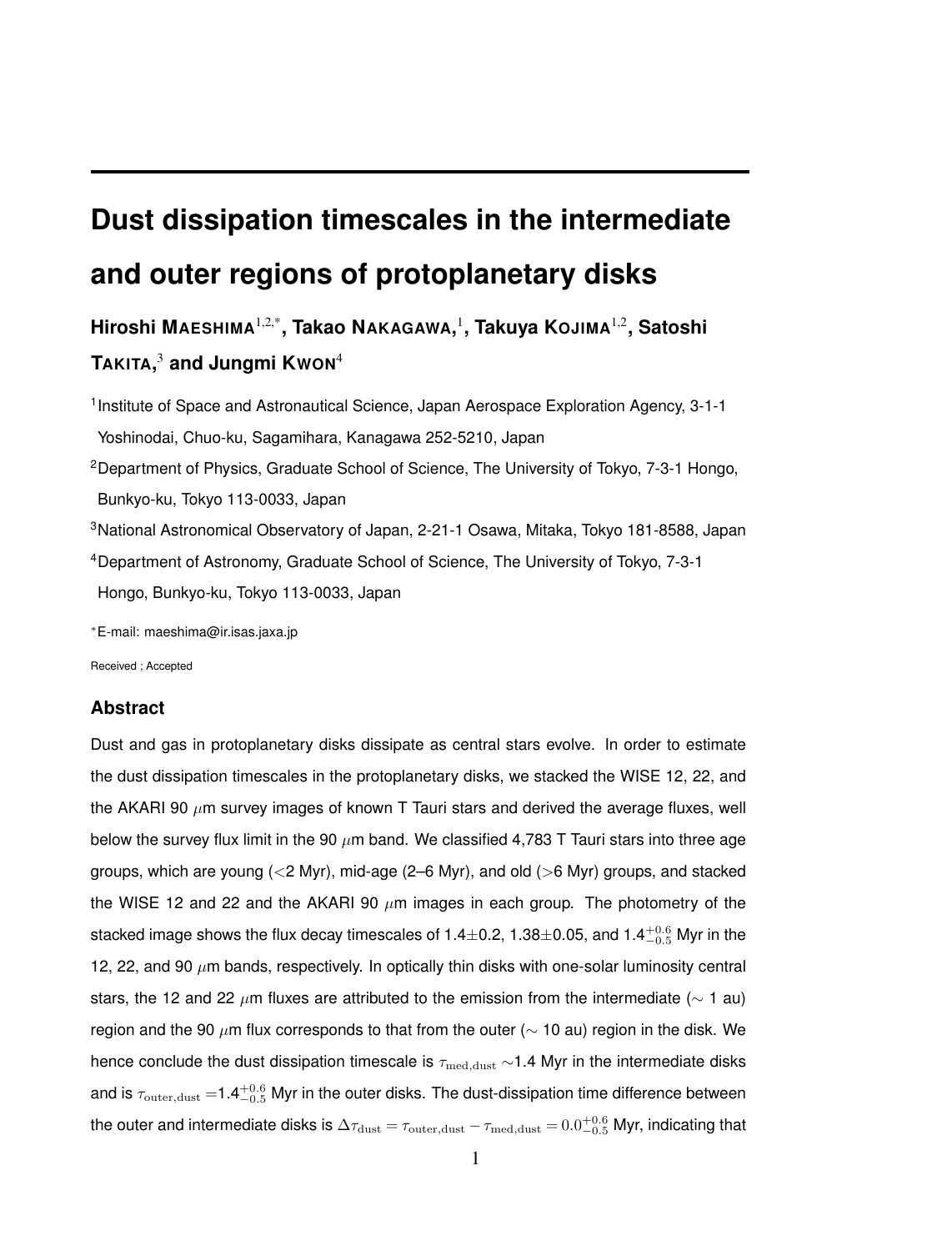# **Dust dissipation timescales in the intermediate and outer regions of protoplanetary disks**

**Hiroshi MAESHIMA**1,2,\***, Takao NAKAGAWA,** 1 **, Takuya KOJIMA**1,2**, Satoshi TAKITA,** <sup>3</sup> **and Jungmi KWON**<sup>4</sup>

<sup>1</sup> Institute of Space and Astronautical Science, Japan Aerospace Exploration Agency, 3-1-1 Yoshinodai, Chuo-ku, Sagamihara, Kanagawa 252-5210, Japan <sup>2</sup>Department of Physics, Graduate School of Science, The University of Tokyo, 7-3-1 Hongo, Bunkyo-ku, Tokyo 113-0033, Japan <sup>3</sup>National Astronomical Observatory of Japan, 2-21-1 Osawa, Mitaka, Tokyo 181-8588, Japan <sup>4</sup>Department of Astronomy, Graduate School of Science, The University of Tokyo, 7-3-1 Hongo, Bunkyo-ku, Tokyo 113-0033, Japan

*∗*E-mail: maeshima@ir.isas.jaxa.jp

Received ; Accepted

# **Abstract**

Dust and gas in protoplanetary disks dissipate as central stars evolve. In order to estimate the dust dissipation timescales in the protoplanetary disks, we stacked the WISE 12, 22, and the AKARI 90 *µ*m survey images of known T Tauri stars and derived the average fluxes, well below the survey flux limit in the 90 *µ*m band. We classified 4,783 T Tauri stars into three age groups, which are young (*<*2 Myr), mid-age (2–6 Myr), and old (*>*6 Myr) groups, and stacked the WISE 12 and 22 and the AKARI 90  $\mu$ m images in each group. The photometry of the stacked image shows the flux decay timescales of 1.4*±*0.2, 1.38*±*0.05, and 1.4+0*.*<sup>6</sup> *<sup>−</sup>*0*.*<sup>5</sup> Myr in the 12, 22, and 90 *µ*m bands, respectively. In optically thin disks with one-solar luminosity central stars, the 12 and 22 *µ*m fluxes are attributed to the emission from the intermediate (*∼* 1 au) region and the 90 *µ*m flux corresponds to that from the outer (*∼* 10 au) region in the disk. We hence conclude the dust dissipation timescale is *τ*med*,*dust *∼*1.4 Myr in the intermediate disks and is  $\tau_{\rm outer,dust}$  =1.4 $^{+0.6}_{-0.5}$  Myr in the outer disks. The dust-dissipation time difference between the outer and intermediate disks is  $\Delta\tau_{\rm dust}=\tau_{\rm outer,dust}-\tau_{\rm med,dust}=0.0^{+0.6}_{-0.5}$  Myr, indicating that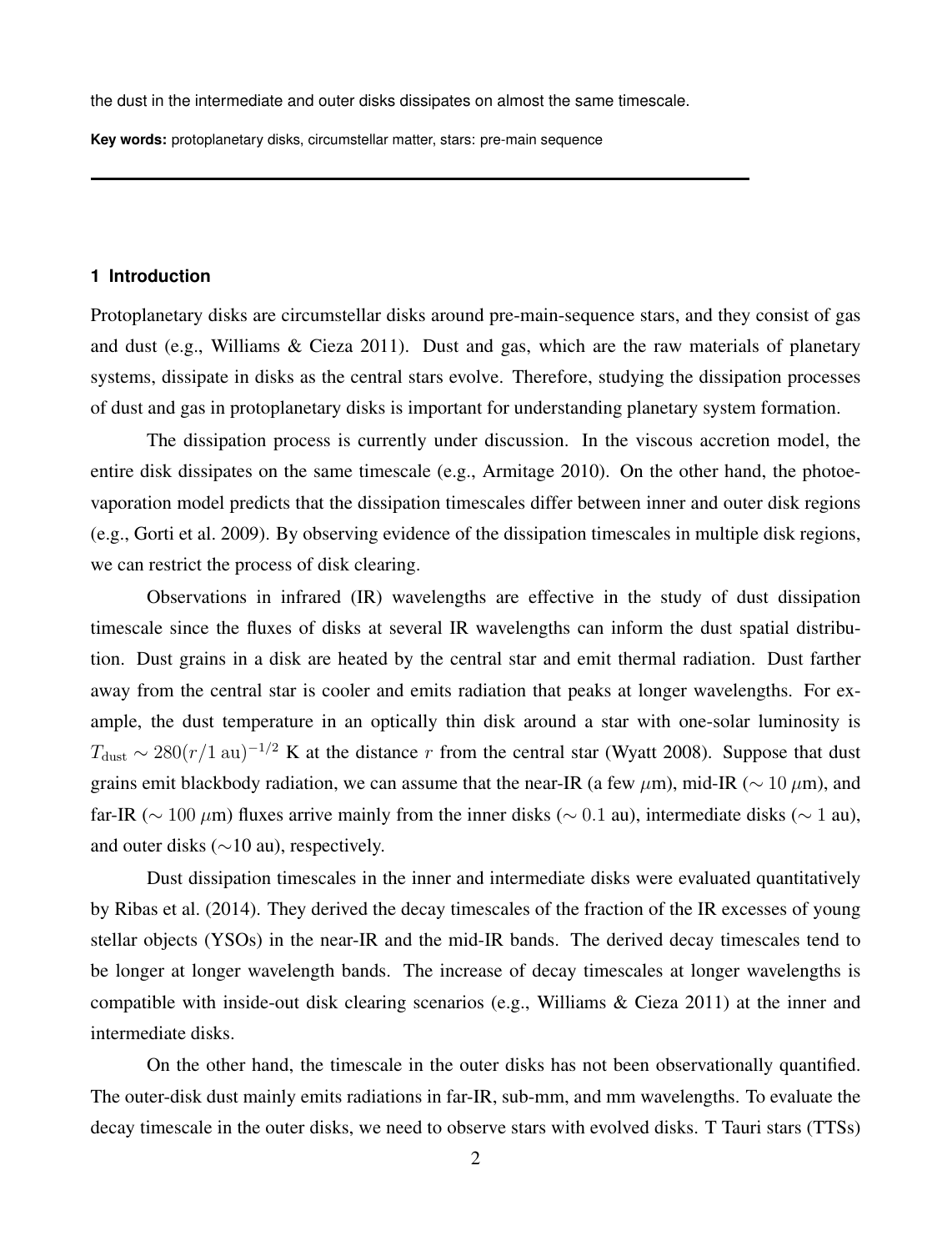the dust in the intermediate and outer disks dissipates on almost the same timescale.

**Key words:** protoplanetary disks, circumstellar matter, stars: pre-main sequence

# **1 Introduction**

Protoplanetary disks are circumstellar disks around pre-main-sequence stars, and they consist of gas and dust (e.g., Williams & Cieza 2011). Dust and gas, which are the raw materials of planetary systems, dissipate in disks as the central stars evolve. Therefore, studying the dissipation processes of dust and gas in protoplanetary disks is important for understanding planetary system formation.

The dissipation process is currently under discussion. In the viscous accretion model, the entire disk dissipates on the same timescale (e.g., Armitage 2010). On the other hand, the photoevaporation model predicts that the dissipation timescales differ between inner and outer disk regions (e.g., Gorti et al. 2009). By observing evidence of the dissipation timescales in multiple disk regions, we can restrict the process of disk clearing.

Observations in infrared (IR) wavelengths are effective in the study of dust dissipation timescale since the fluxes of disks at several IR wavelengths can inform the dust spatial distribution. Dust grains in a disk are heated by the central star and emit thermal radiation. Dust farther away from the central star is cooler and emits radiation that peaks at longer wavelengths. For example, the dust temperature in an optically thin disk around a star with one-solar luminosity is  $T_{\text{dust}} \sim 280(r/1 \text{ au})^{-1/2}$  K at the distance *r* from the central star (Wyatt 2008). Suppose that dust grains emit blackbody radiation, we can assume that the near-IR (a few  $\mu$ m), mid-IR ( $\sim 10 \mu$ m), and far-IR (*∼* 100 *µ*m) fluxes arrive mainly from the inner disks (*∼* 0*.*1 au), intermediate disks (*∼* 1 au), and outer disks (*∼*10 au), respectively.

Dust dissipation timescales in the inner and intermediate disks were evaluated quantitatively by Ribas et al. (2014). They derived the decay timescales of the fraction of the IR excesses of young stellar objects (YSOs) in the near-IR and the mid-IR bands. The derived decay timescales tend to be longer at longer wavelength bands. The increase of decay timescales at longer wavelengths is compatible with inside-out disk clearing scenarios (e.g., Williams & Cieza 2011) at the inner and intermediate disks.

On the other hand, the timescale in the outer disks has not been observationally quantified. The outer-disk dust mainly emits radiations in far-IR, sub-mm, and mm wavelengths. To evaluate the decay timescale in the outer disks, we need to observe stars with evolved disks. T Tauri stars (TTSs)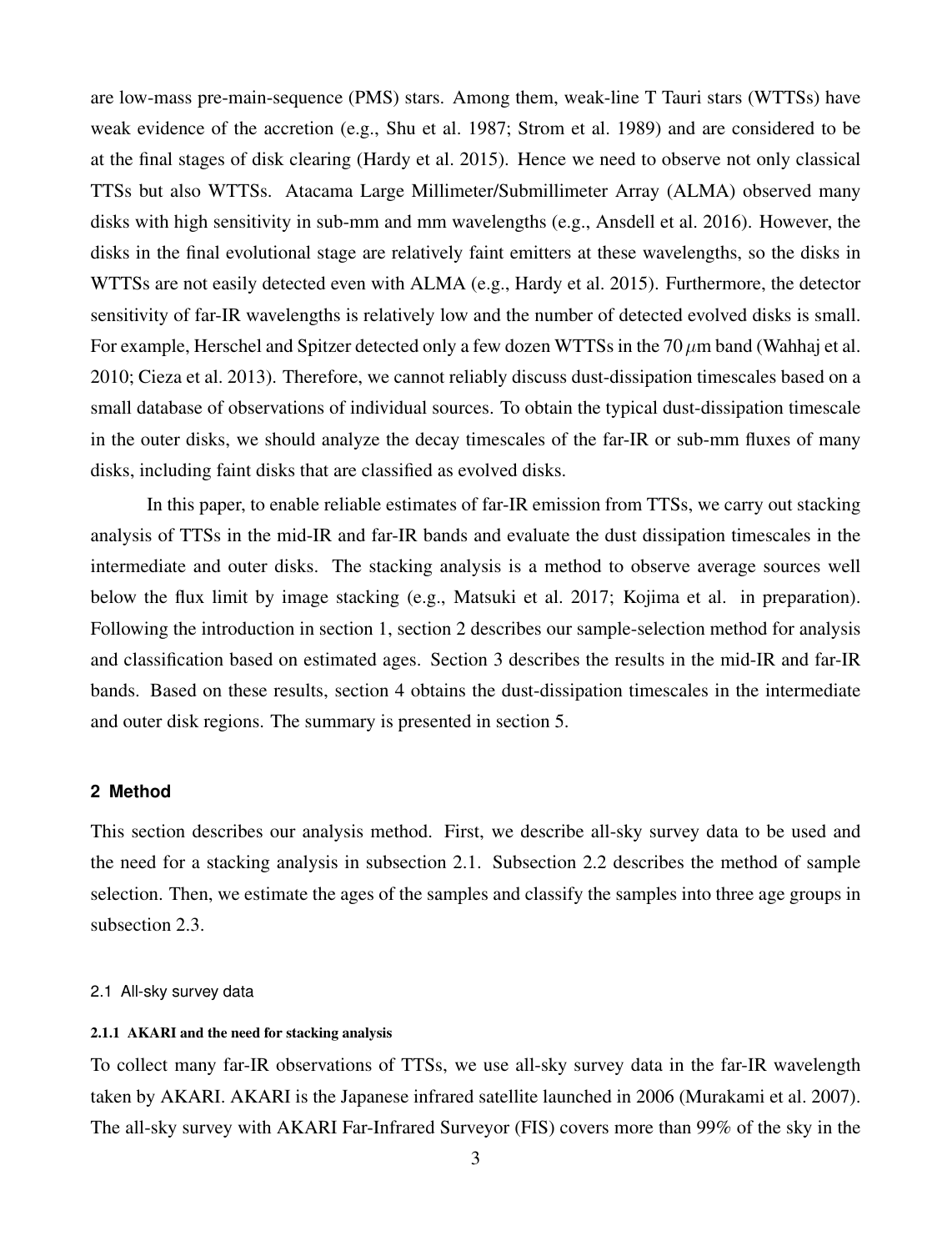are low-mass pre-main-sequence (PMS) stars. Among them, weak-line T Tauri stars (WTTSs) have weak evidence of the accretion (e.g., Shu et al. 1987; Strom et al. 1989) and are considered to be at the final stages of disk clearing (Hardy et al. 2015). Hence we need to observe not only classical TTSs but also WTTSs. Atacama Large Millimeter/Submillimeter Array (ALMA) observed many disks with high sensitivity in sub-mm and mm wavelengths (e.g., Ansdell et al. 2016). However, the disks in the final evolutional stage are relatively faint emitters at these wavelengths, so the disks in WTTSs are not easily detected even with ALMA (e.g., Hardy et al. 2015). Furthermore, the detector sensitivity of far-IR wavelengths is relatively low and the number of detected evolved disks is small. For example, Herschel and Spitzer detected only a few dozen WTTSs in the 70*µ*m band (Wahhaj et al. 2010; Cieza et al. 2013). Therefore, we cannot reliably discuss dust-dissipation timescales based on a small database of observations of individual sources. To obtain the typical dust-dissipation timescale in the outer disks, we should analyze the decay timescales of the far-IR or sub-mm fluxes of many disks, including faint disks that are classified as evolved disks.

In this paper, to enable reliable estimates of far-IR emission from TTSs, we carry out stacking analysis of TTSs in the mid-IR and far-IR bands and evaluate the dust dissipation timescales in the intermediate and outer disks. The stacking analysis is a method to observe average sources well below the flux limit by image stacking (e.g., Matsuki et al. 2017; Kojima et al. in preparation). Following the introduction in section 1, section 2 describes our sample-selection method for analysis and classification based on estimated ages. Section 3 describes the results in the mid-IR and far-IR bands. Based on these results, section 4 obtains the dust-dissipation timescales in the intermediate and outer disk regions. The summary is presented in section 5.

### **2 Method**

This section describes our analysis method. First, we describe all-sky survey data to be used and the need for a stacking analysis in subsection 2.1. Subsection 2.2 describes the method of sample selection. Then, we estimate the ages of the samples and classify the samples into three age groups in subsection 2.3.

# 2.1 All-sky survey data

# 2.1.1 AKARI and the need for stacking analysis

To collect many far-IR observations of TTSs, we use all-sky survey data in the far-IR wavelength taken by AKARI. AKARI is the Japanese infrared satellite launched in 2006 (Murakami et al. 2007). The all-sky survey with AKARI Far-Infrared Surveyor (FIS) covers more than 99% of the sky in the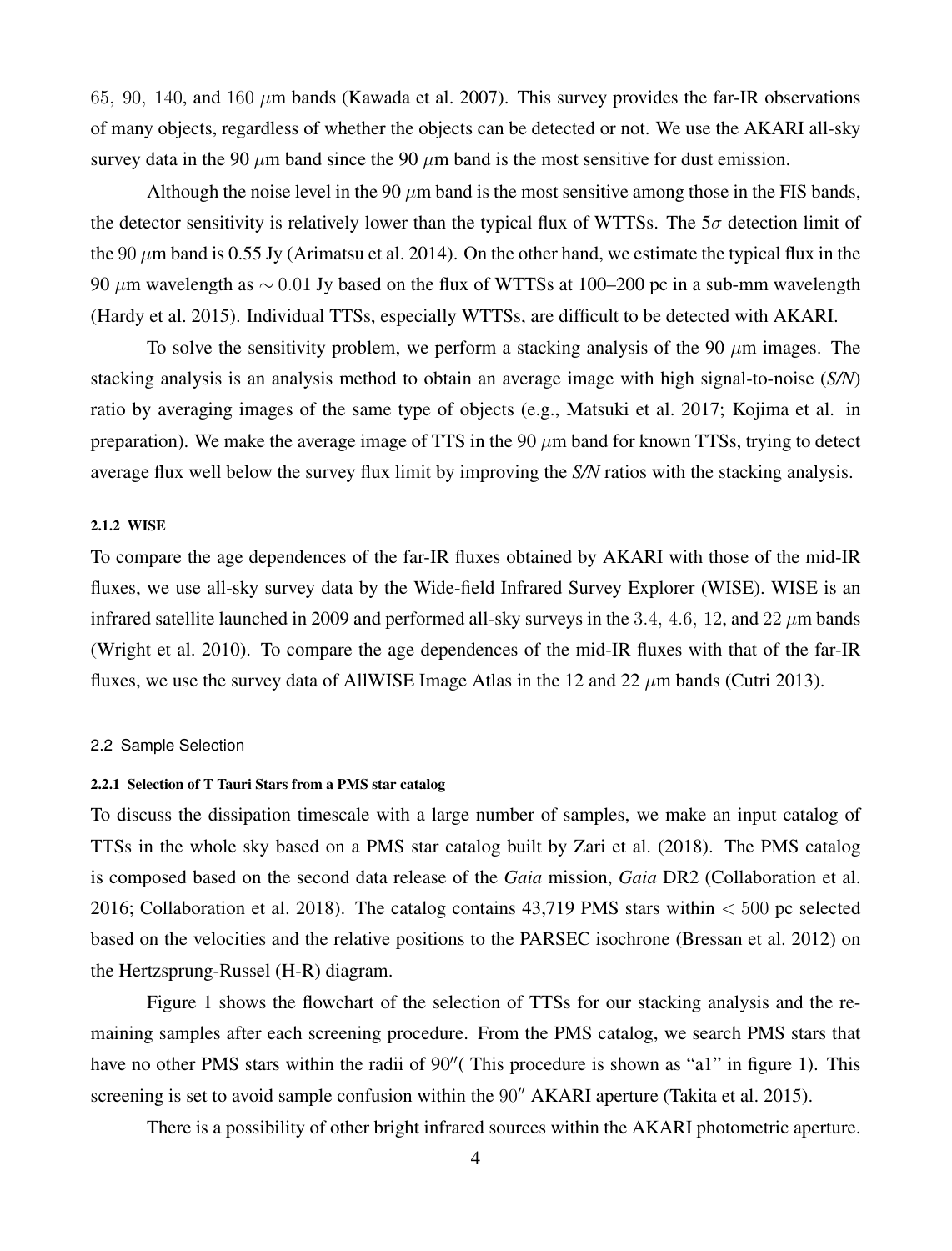65*,* 90*,* 140, and 160 *µ*m bands (Kawada et al. 2007). This survey provides the far-IR observations of many objects, regardless of whether the objects can be detected or not. We use the AKARI all-sky survey data in the 90  $\mu$ m band since the 90  $\mu$ m band is the most sensitive for dust emission.

Although the noise level in the 90  $\mu$ m band is the most sensitive among those in the FIS bands, the detector sensitivity is relatively lower than the typical flux of WTTSs. The  $5\sigma$  detection limit of the 90 *µ*m band is 0.55 Jy (Arimatsu et al. 2014). On the other hand, we estimate the typical flux in the 90 *µ*m wavelength as *∼* 0*.*01 Jy based on the flux of WTTSs at 100–200 pc in a sub-mm wavelength (Hardy et al. 2015). Individual TTSs, especially WTTSs, are difficult to be detected with AKARI.

To solve the sensitivity problem, we perform a stacking analysis of the 90  $\mu$ m images. The stacking analysis is an analysis method to obtain an average image with high signal-to-noise (*S/N*) ratio by averaging images of the same type of objects (e.g., Matsuki et al. 2017; Kojima et al. in preparation). We make the average image of TTS in the 90 *µ*m band for known TTSs, trying to detect average flux well below the survey flux limit by improving the *S/N* ratios with the stacking analysis.

# 2.1.2 WISE

To compare the age dependences of the far-IR fluxes obtained by AKARI with those of the mid-IR fluxes, we use all-sky survey data by the Wide-field Infrared Survey Explorer (WISE). WISE is an infrared satellite launched in 2009 and performed all-sky surveys in the 3*.*4*,* 4*.*6*,* 12, and 22 *µ*m bands (Wright et al. 2010). To compare the age dependences of the mid-IR fluxes with that of the far-IR fluxes, we use the survey data of AllWISE Image Atlas in the 12 and 22 *µ*m bands (Cutri 2013).

#### 2.2 Sample Selection

#### 2.2.1 Selection of T Tauri Stars from a PMS star catalog

To discuss the dissipation timescale with a large number of samples, we make an input catalog of TTSs in the whole sky based on a PMS star catalog built by Zari et al. (2018). The PMS catalog is composed based on the second data release of the *Gaia* mission, *Gaia* DR2 (Collaboration et al. 2016; Collaboration et al. 2018). The catalog contains 43,719 PMS stars within *<* 500 pc selected based on the velocities and the relative positions to the PARSEC isochrone (Bressan et al. 2012) on the Hertzsprung-Russel (H-R) diagram.

Figure 1 shows the flowchart of the selection of TTSs for our stacking analysis and the remaining samples after each screening procedure. From the PMS catalog, we search PMS stars that have no other PMS stars within the radii of 90*′′*( This procedure is shown as "a1" in figure 1). This screening is set to avoid sample confusion within the 90*′′* AKARI aperture (Takita et al. 2015).

There is a possibility of other bright infrared sources within the AKARI photometric aperture.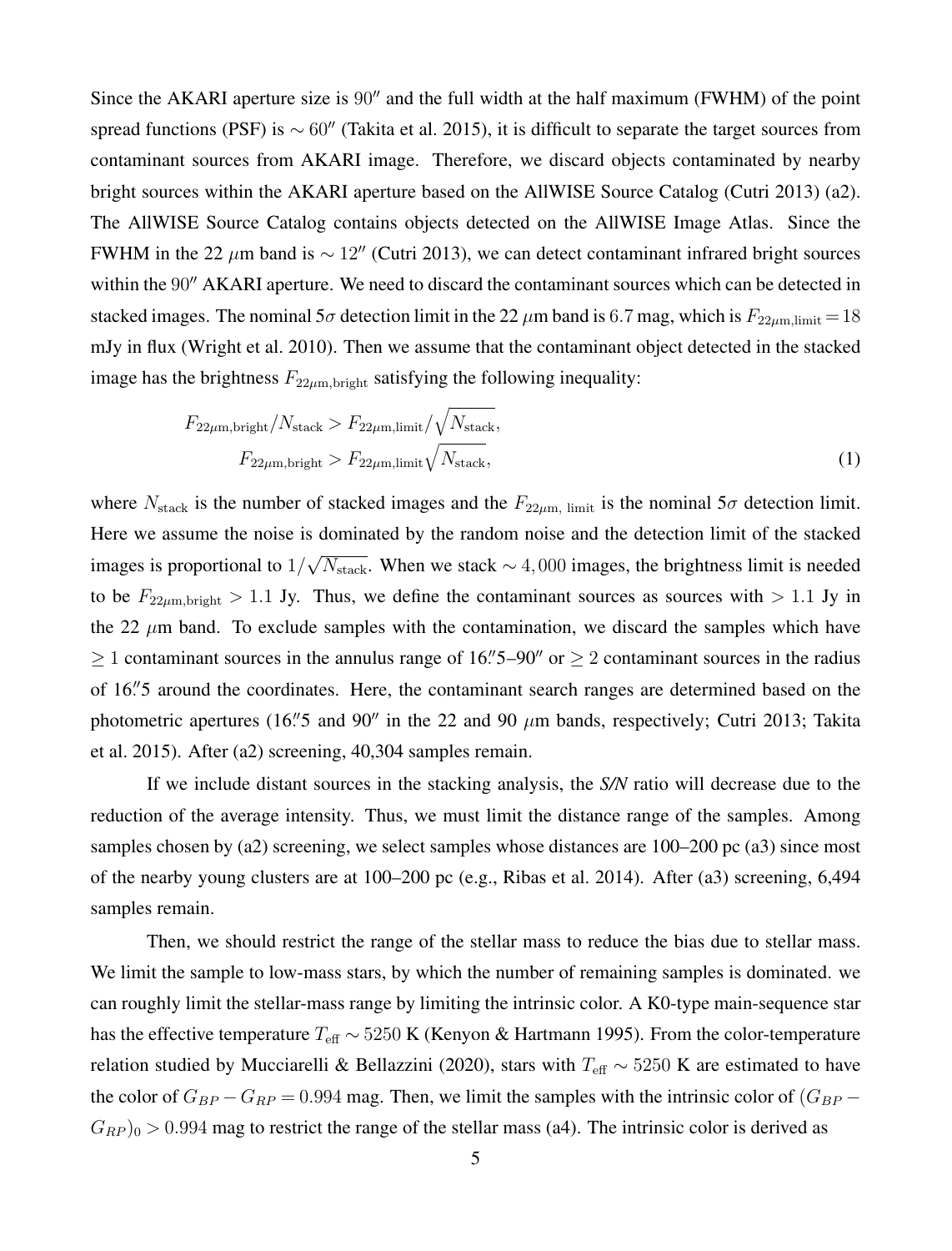Since the AKARI aperture size is 90*′′* and the full width at the half maximum (FWHM) of the point spread functions (PSF) is *∼* 60*′′* (Takita et al. 2015), it is difficult to separate the target sources from contaminant sources from AKARI image. Therefore, we discard objects contaminated by nearby bright sources within the AKARI aperture based on the AllWISE Source Catalog (Cutri 2013) (a2). The AllWISE Source Catalog contains objects detected on the AllWISE Image Atlas. Since the FWHM in the 22 *µ*m band is *∼* 12*′′* (Cutri 2013), we can detect contaminant infrared bright sources within the 90<sup>*′′*</sup> AKARI aperture. We need to discard the contaminant sources which can be detected in stacked images. The nominal  $5\sigma$  detection limit in the 22  $\mu$ m band is 6.7 mag, which is  $F_{22\mu m, \text{limit}} = 18$ mJy in flux (Wright et al. 2010). Then we assume that the contaminant object detected in the stacked image has the brightness  $F_{22\mu m, bright}$  satisfying the following inequality:

$$
F_{22\mu\text{m,bright}}/N_{\text{stack}} > F_{22\mu\text{m,limit}}/\sqrt{N_{\text{stack}}},
$$
  

$$
F_{22\mu\text{m,bright}} > F_{22\mu\text{m,limit}}\sqrt{N_{\text{stack}}},
$$
 (1)

where  $N_{\text{stack}}$  is the number of stacked images and the  $F_{22\mu m}$ , limit is the nominal  $5\sigma$  detection limit. Here we assume the noise is dominated by the random noise and the detection limit of the stacked images is proportional to  $1/\sqrt{N_{\text{stack}}}$ . When we stack  $\sim 4,000$  images, the brightness limit is needed to be  $F_{22\mu m, bright} > 1.1$  Jy. Thus, we define the contaminant sources as sources with  $> 1.1$  Jy in the 22  $\mu$ m band. To exclude samples with the contamination, we discard the samples which have *≥* 1 contaminant sources in the annulus range of 16*. ′′*5–90*′′* or *≥* 2 contaminant sources in the radius of 16*. ′′*5 around the coordinates. Here, the contaminant search ranges are determined based on the photometric apertures (16*. ′′*5 and 90*′′* in the 22 and 90 *µ*m bands, respectively; Cutri 2013; Takita et al. 2015). After (a2) screening, 40,304 samples remain.

If we include distant sources in the stacking analysis, the *S/N* ratio will decrease due to the reduction of the average intensity. Thus, we must limit the distance range of the samples. Among samples chosen by (a2) screening, we select samples whose distances are 100–200 pc (a3) since most of the nearby young clusters are at 100–200 pc (e.g., Ribas et al. 2014). After (a3) screening, 6,494 samples remain.

Then, we should restrict the range of the stellar mass to reduce the bias due to stellar mass. We limit the sample to low-mass stars, by which the number of remaining samples is dominated. we can roughly limit the stellar-mass range by limiting the intrinsic color. A K0-type main-sequence star has the effective temperature *T*eff *∼* 5250 K (Kenyon & Hartmann 1995). From the color-temperature relation studied by Mucciarelli & Bellazzini (2020), stars with *T*eff *∼* 5250 K are estimated to have the color of  $G_{BP} - G_{RP} = 0.994$  mag. Then, we limit the samples with the intrinsic color of  $(G_{BP} G_{RP}$ )<sub>0</sub> > 0.994 mag to restrict the range of the stellar mass (a4). The intrinsic color is derived as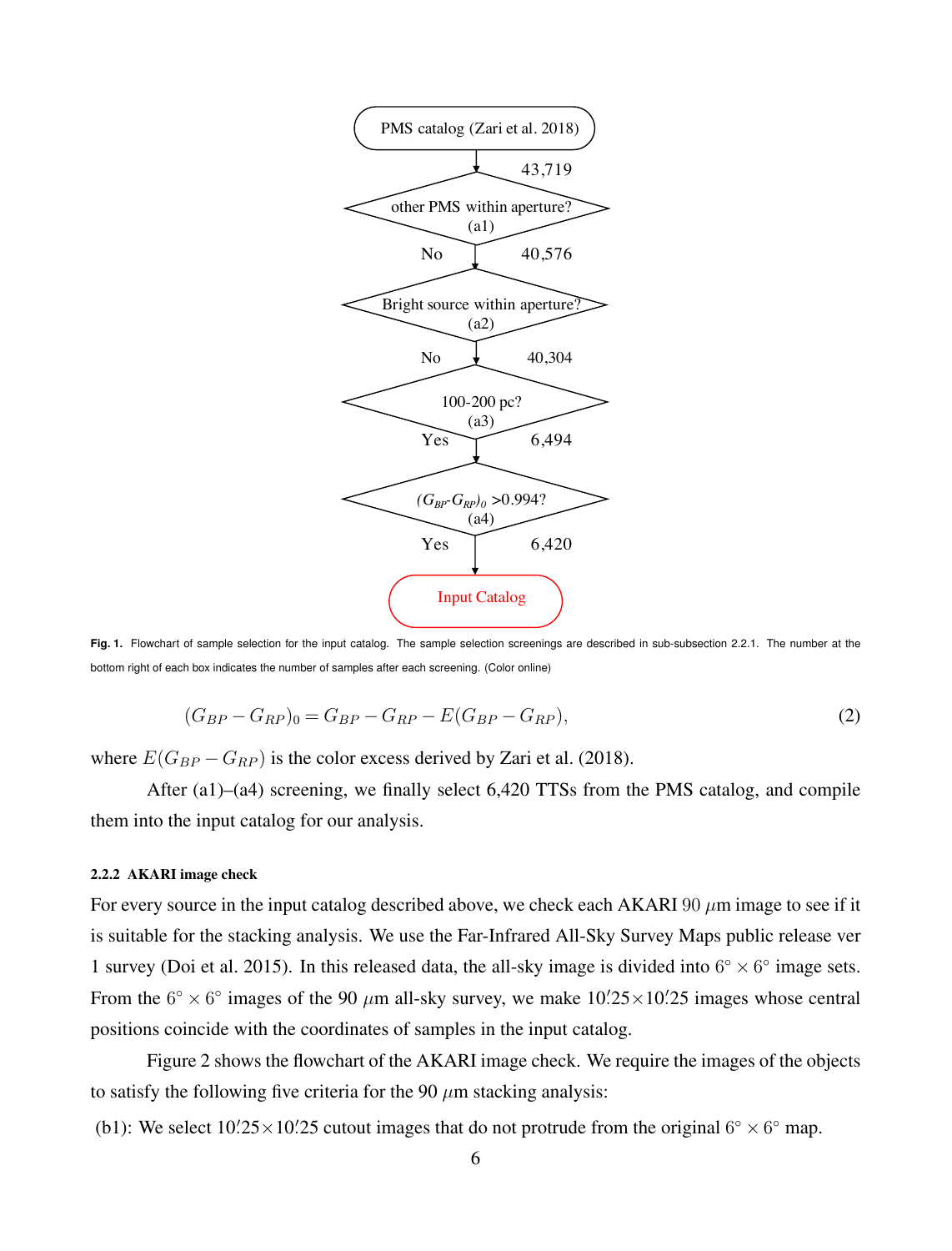

**Fig. 1.** Flowchart of sample selection for the input catalog. The sample selection screenings are described in sub-subsection 2.2.1. The number at the bottom right of each box indicates the number of samples after each screening. (Color online)

$$
(G_{BP} - G_{RP})_0 = G_{BP} - G_{RP} - E(G_{BP} - G_{RP}),
$$
\n(2)

where  $E(G_{BP} - G_{RP})$  is the color excess derived by Zari et al. (2018).

After (a1)–(a4) screening, we finally select 6,420 TTSs from the PMS catalog, and compile them into the input catalog for our analysis.

## 2.2.2 AKARI image check

For every source in the input catalog described above, we check each AKARI 90 *µ*m image to see if it is suitable for the stacking analysis. We use the Far-Infrared All-Sky Survey Maps public release ver 1 survey (Doi et al. 2015). In this released data, the all-sky image is divided into  $6^{\circ} \times 6^{\circ}$  image sets. From the  $6^{\circ} \times 6^{\circ}$  images of the 90  $\mu$ m all-sky survey, we make  $10\frac{25}{10} \times 10\frac{25}{10}$  images whose central positions coincide with the coordinates of samples in the input catalog.

Figure 2 shows the flowchart of the AKARI image check. We require the images of the objects to satisfy the following five criteria for the 90  $\mu$ m stacking analysis:

(b1): We select  $10'$ :  $25 \times 10'$ :  $25$  cutout images that do not protrude from the original  $6^\circ \times 6^\circ$  map.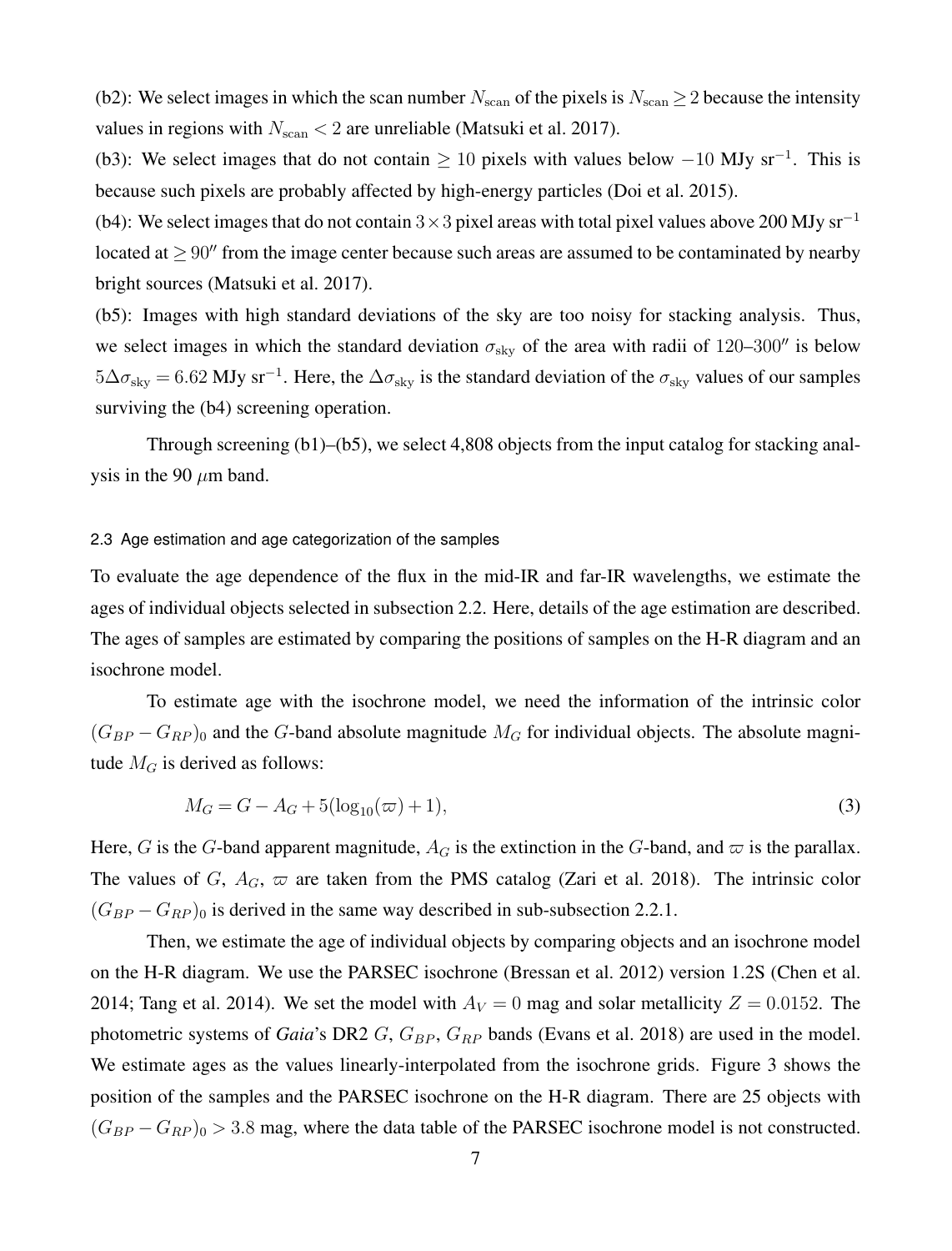(b2): We select images in which the scan number  $N_{\text{scan}}$  of the pixels is  $N_{\text{scan}} \geq 2$  because the intensity values in regions with  $N_{\text{scan}} < 2$  are unreliable (Matsuki et al. 2017).

(b3): We select images that do not contain *<sup>≥</sup>* <sup>10</sup> pixels with values below *<sup>−</sup>*<sup>10</sup> MJy sr*−*<sup>1</sup> . This is because such pixels are probably affected by high-energy particles (Doi et al. 2015).

(b4): We select images that do not contain <sup>3</sup>*×*<sup>3</sup> pixel areas with total pixel values above 200 MJy sr*−*<sup>1</sup> located at *≥* 90*′′* from the image center because such areas are assumed to be contaminated by nearby bright sources (Matsuki et al. 2017).

(b5): Images with high standard deviations of the sky are too noisy for stacking analysis. Thus, we select images in which the standard deviation  $\sigma_{sky}$  of the area with radii of 120–300<sup>*′′*</sup> is below 5∆*σ*sky = 6*.*62 MJy sr*−*<sup>1</sup> . Here, the ∆*σ*sky is the standard deviation of the *σ*sky values of our samples surviving the  $(b4)$  screening operation.

Through screening (b1)–(b5), we select 4,808 objects from the input catalog for stacking analysis in the 90  $\mu$ m band.

# 2.3 Age estimation and age categorization of the samples

To evaluate the age dependence of the flux in the mid-IR and far-IR wavelengths, we estimate the ages of individual objects selected in subsection 2.2. Here, details of the age estimation are described. The ages of samples are estimated by comparing the positions of samples on the H-R diagram and an isochrone model.

To estimate age with the isochrone model, we need the information of the intrinsic color  $(G_{BP} - G_{RP})_0$  and the *G*-band absolute magnitude  $M_G$  for individual objects. The absolute magnitude  $M_G$  is derived as follows:

$$
M_G = G - A_G + 5(\log_{10}(\varpi) + 1),\tag{3}
$$

Here, *G* is the *G*-band apparent magnitude,  $A_G$  is the extinction in the *G*-band, and  $\varpi$  is the parallax. The values of *G*,  $A_G$ ,  $\varpi$  are taken from the PMS catalog (Zari et al. 2018). The intrinsic color  $(G_{BP} - G_{RP})_0$  is derived in the same way described in sub-subsection 2.2.1.

Then, we estimate the age of individual objects by comparing objects and an isochrone model on the H-R diagram. We use the PARSEC isochrone (Bressan et al. 2012) version 1.2S (Chen et al. 2014; Tang et al. 2014). We set the model with  $A_V = 0$  mag and solar metallicity  $Z = 0.0152$ . The photometric systems of *Gaia*'s DR2 *G*, *G<sub>BP</sub>*, *G<sub>RP</sub>* bands (Evans et al. 2018) are used in the model. We estimate ages as the values linearly-interpolated from the isochrone grids. Figure 3 shows the position of the samples and the PARSEC isochrone on the H-R diagram. There are 25 objects with  $(G_{BP} - G_{RP})_0 > 3.8$  mag, where the data table of the PARSEC isochrone model is not constructed.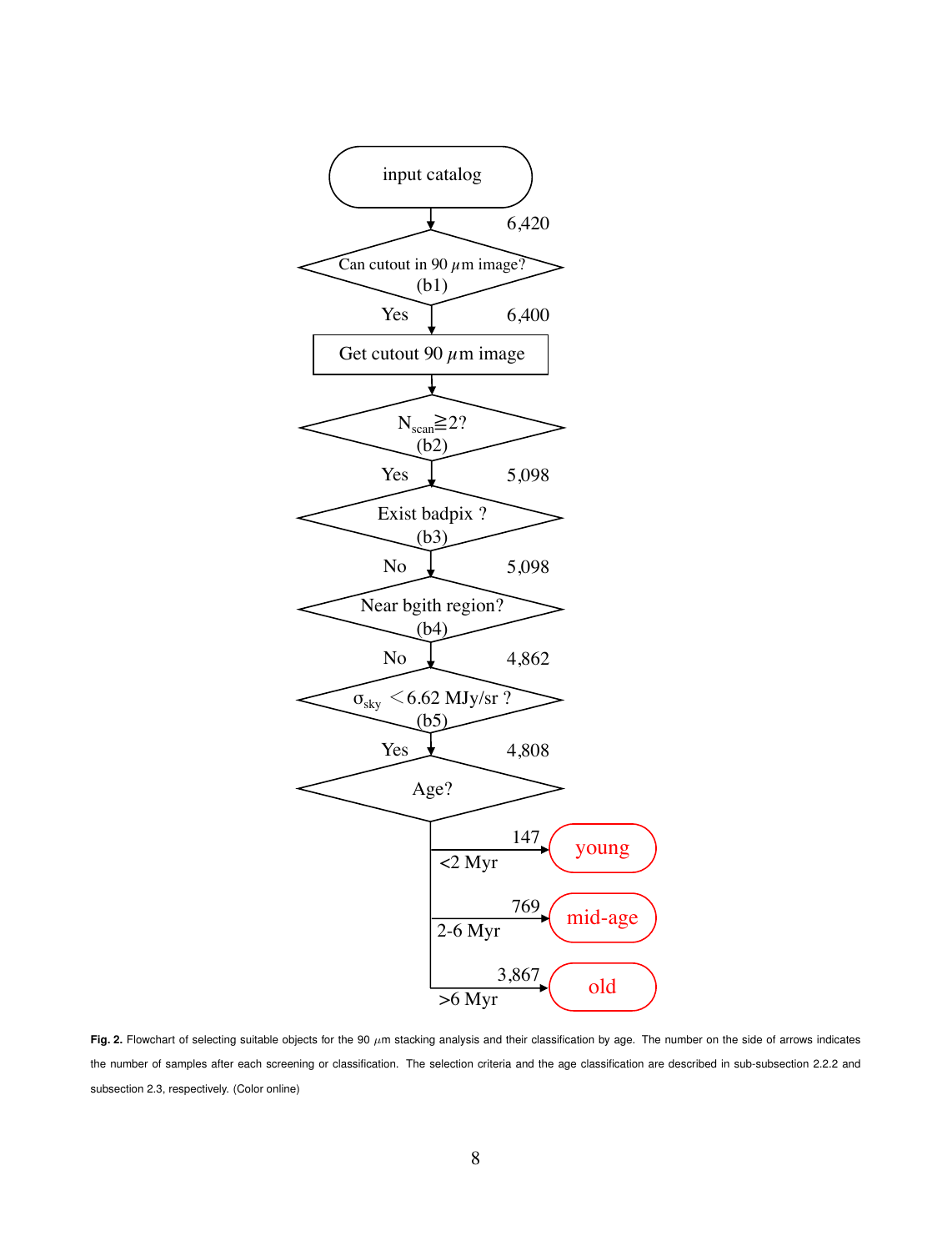

Fig. 2. Flowchart of selecting suitable objects for the 90  $\mu$ m stacking analysis and their classification by age. The number on the side of arrows indicates the number of samples after each screening or classification. The selection criteria and the age classification are described in sub-subsection 2.2.2 and subsection 2.3, respectively. (Color online)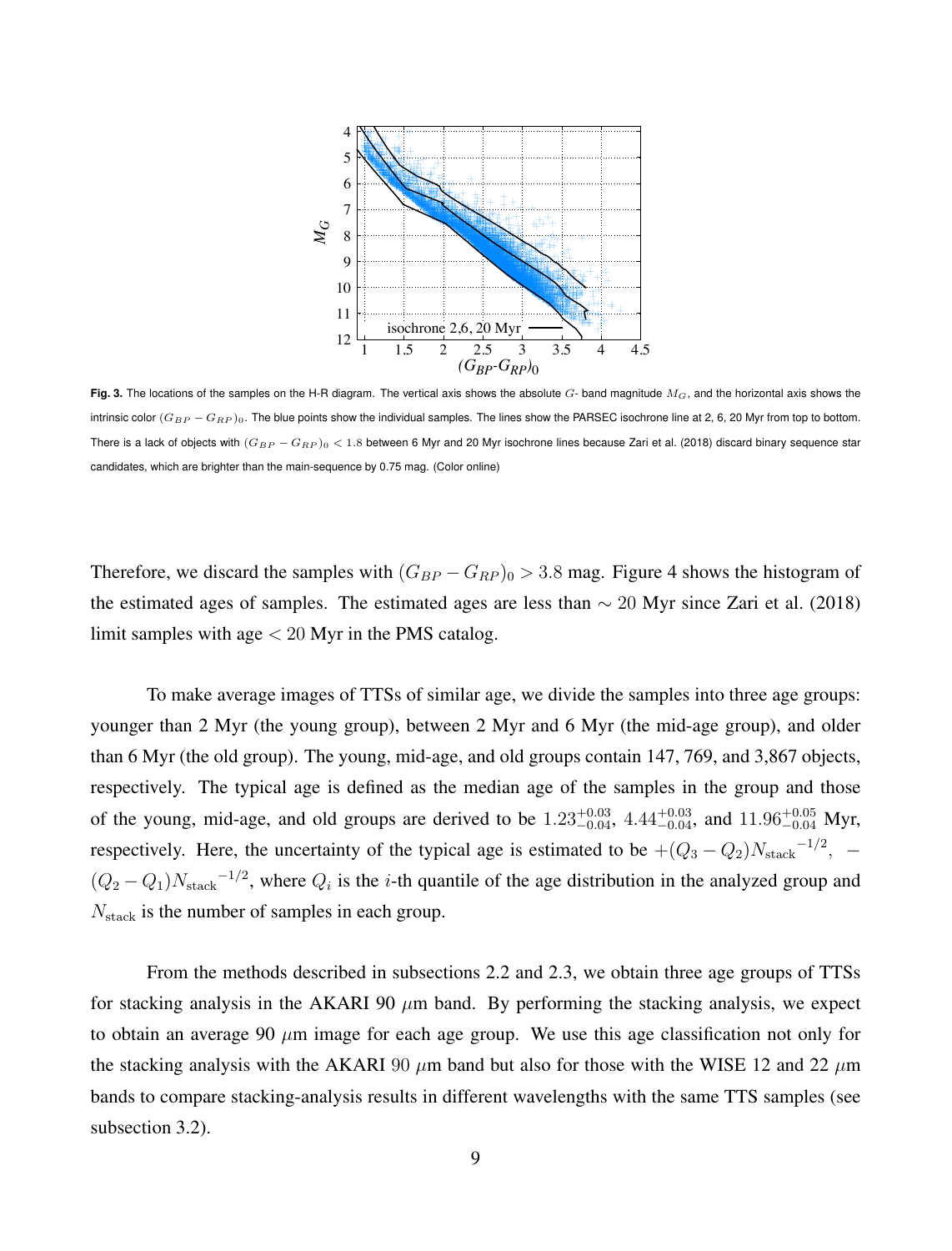

**Fig. 3.** The locations of the samples on the H-R diagram. The vertical axis shows the absolute *G*- band magnitude *MG*, and the horizontal axis shows the intrinsic color ( $G_{BP} - G_{RP}$ )<sub>0</sub>. The blue points show the individual samples. The lines show the PARSEC isochrone line at 2, 6, 20 Myr from top to bottom. There is a lack of objects with  $(G_{BP} - G_{RP})$ <sub>0</sub> < 1.8 between 6 Myr and 20 Myr isochrone lines because Zari et al. (2018) discard binary sequence star candidates, which are brighter than the main-sequence by 0.75 mag. (Color online)

Therefore, we discard the samples with  $(G_{BP} - G_{RP})_0 > 3.8$  mag. Figure 4 shows the histogram of the estimated ages of samples. The estimated ages are less than *∼* 20 Myr since Zari et al. (2018) limit samples with age *<* 20 Myr in the PMS catalog.

To make average images of TTSs of similar age, we divide the samples into three age groups: younger than 2 Myr (the young group), between 2 Myr and 6 Myr (the mid-age group), and older than 6 Myr (the old group). The young, mid-age, and old groups contain 147, 769, and 3,867 objects, respectively. The typical age is defined as the median age of the samples in the group and those of the young, mid-age, and old groups are derived to be  $1.23_{-0.04}^{+0.03}$ ,  $4.44_{-0.04}^{+0.03}$ , and  $11.96_{-0.04}^{+0.05}$  Myr, respectively. Here, the uncertainty of the typical age is estimated to be  $+(Q_3 - Q_2)N_{\text{stack}}^{-1/2}$ ,  $(Q_2 - Q_1)N_{\text{stack}}^{-1/2}$ , where  $Q_i$  is the *i*-th quantile of the age distribution in the analyzed group and *N*stack is the number of samples in each group.

From the methods described in subsections 2.2 and 2.3, we obtain three age groups of TTSs for stacking analysis in the AKARI 90  $\mu$ m band. By performing the stacking analysis, we expect to obtain an average 90 *µ*m image for each age group. We use this age classification not only for the stacking analysis with the AKARI 90  $\mu$ m band but also for those with the WISE 12 and 22  $\mu$ m bands to compare stacking-analysis results in different wavelengths with the same TTS samples (see subsection 3.2).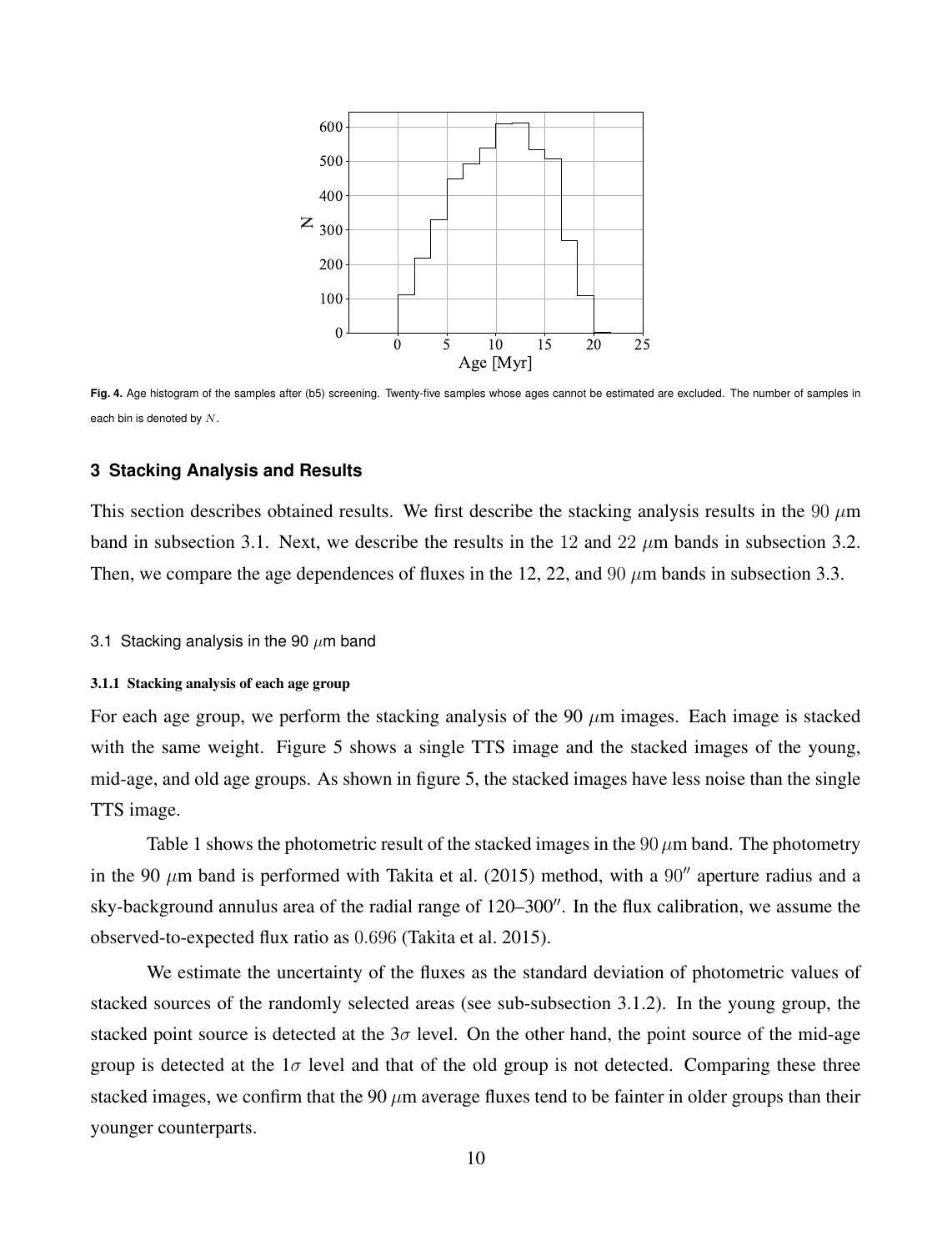

**Fig. 4.** Age histogram of the samples after (b5) screening. Twenty-five samples whose ages cannot be estimated are excluded. The number of samples in each bin is denoted by *N*.

# **3 Stacking Analysis and Results**

This section describes obtained results. We first describe the stacking analysis results in the 90  $\mu$ m band in subsection 3.1. Next, we describe the results in the 12 and 22  $\mu$ m bands in subsection 3.2. Then, we compare the age dependences of fluxes in the 12, 22, and 90  $\mu$ m bands in subsection 3.3.

# 3.1 Stacking analysis in the 90 *µ*m band

#### 3.1.1 Stacking analysis of each age group

For each age group, we perform the stacking analysis of the 90 *µ*m images. Each image is stacked with the same weight. Figure 5 shows a single TTS image and the stacked images of the young, mid-age, and old age groups. As shown in figure 5, the stacked images have less noise than the single TTS image.

Table 1 shows the photometric result of the stacked images in the  $90 \mu m$  band. The photometry in the 90 *µ*m band is performed with Takita et al. (2015) method, with a 90*′′* aperture radius and a sky-background annulus area of the radial range of 120–300*′′*. In the flux calibration, we assume the observed-to-expected flux ratio as 0*.*696 (Takita et al. 2015).

We estimate the uncertainty of the fluxes as the standard deviation of photometric values of stacked sources of the randomly selected areas (see sub-subsection 3.1.2). In the young group, the stacked point source is detected at the  $3\sigma$  level. On the other hand, the point source of the mid-age group is detected at the  $1\sigma$  level and that of the old group is not detected. Comparing these three stacked images, we confirm that the 90  $\mu$ m average fluxes tend to be fainter in older groups than their younger counterparts.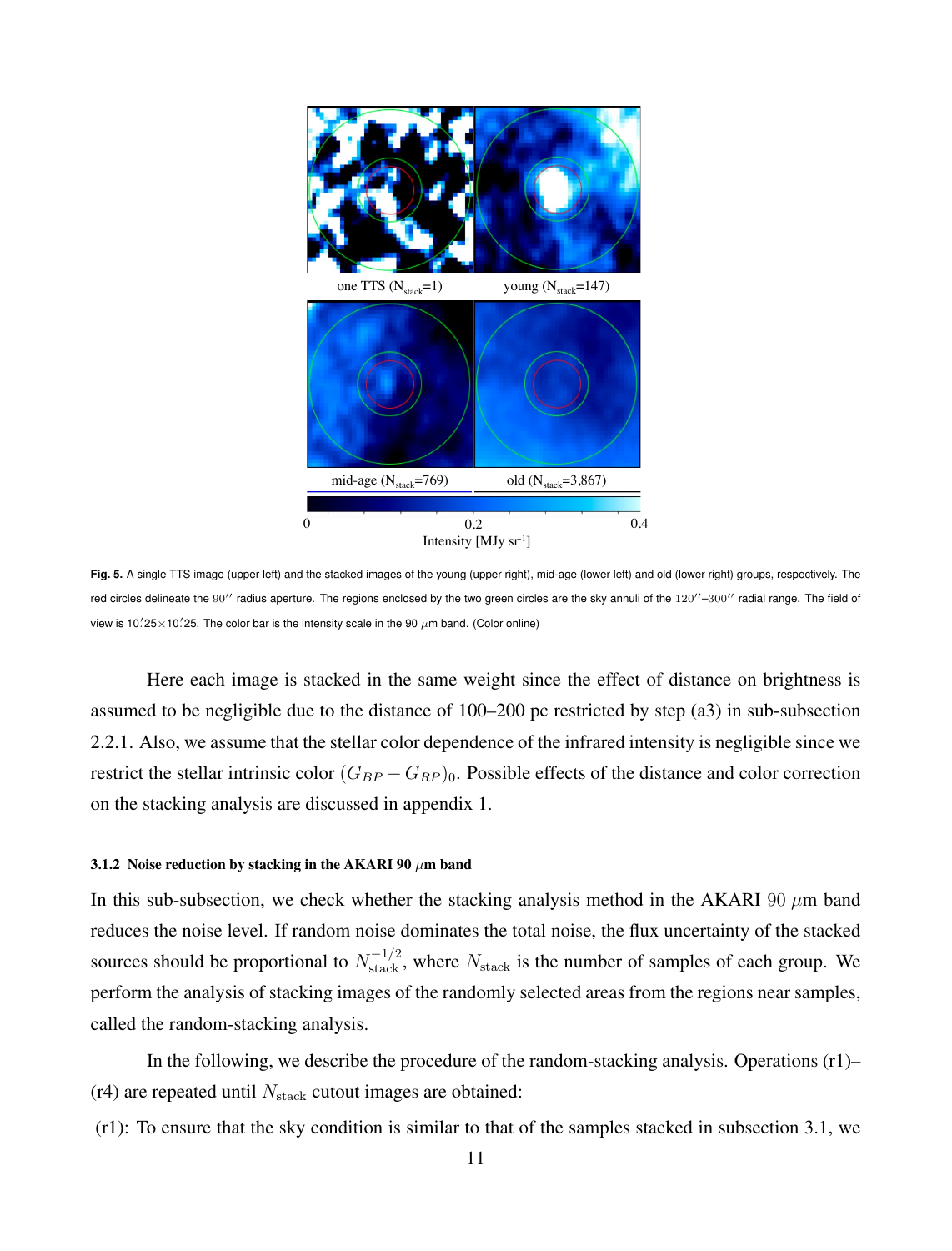

**Fig. 5.** A single TTS image (upper left) and the stacked images of the young (upper right), mid-age (lower left) and old (lower right) groups, respectively. The red circles delineate the 90*′′* radius aperture. The regions enclosed by the two green circles are the sky annuli of the 120*′′* –300*′′* radial range. The field of view is 10. $25\times$ 10. $25$ . The color bar is the intensity scale in the 90  $\mu$ m band. (Color online)

Here each image is stacked in the same weight since the effect of distance on brightness is assumed to be negligible due to the distance of 100–200 pc restricted by step (a3) in sub-subsection 2.2.1. Also, we assume that the stellar color dependence of the infrared intensity is negligible since we restrict the stellar intrinsic color  $(G_{BP} - G_{RP})_0$ . Possible effects of the distance and color correction on the stacking analysis are discussed in appendix 1.

#### 3.1.2 Noise reduction by stacking in the AKARI 90 *µ*m band

In this sub-subsection, we check whether the stacking analysis method in the AKARI 90 *µ*m band reduces the noise level. If random noise dominates the total noise, the flux uncertainty of the stacked sources should be proportional to  $N_{\text{stack}}$ , where  $N_{\text{stack}}$  is the number of samples of each group. We perform the analysis of stacking images of the randomly selected areas from the regions near samples, called the random-stacking analysis.

In the following, we describe the procedure of the random-stacking analysis. Operations  $(r1)$ – (r4) are repeated until *N*stack cutout images are obtained:

(r1): To ensure that the sky condition is similar to that of the samples stacked in subsection 3.1, we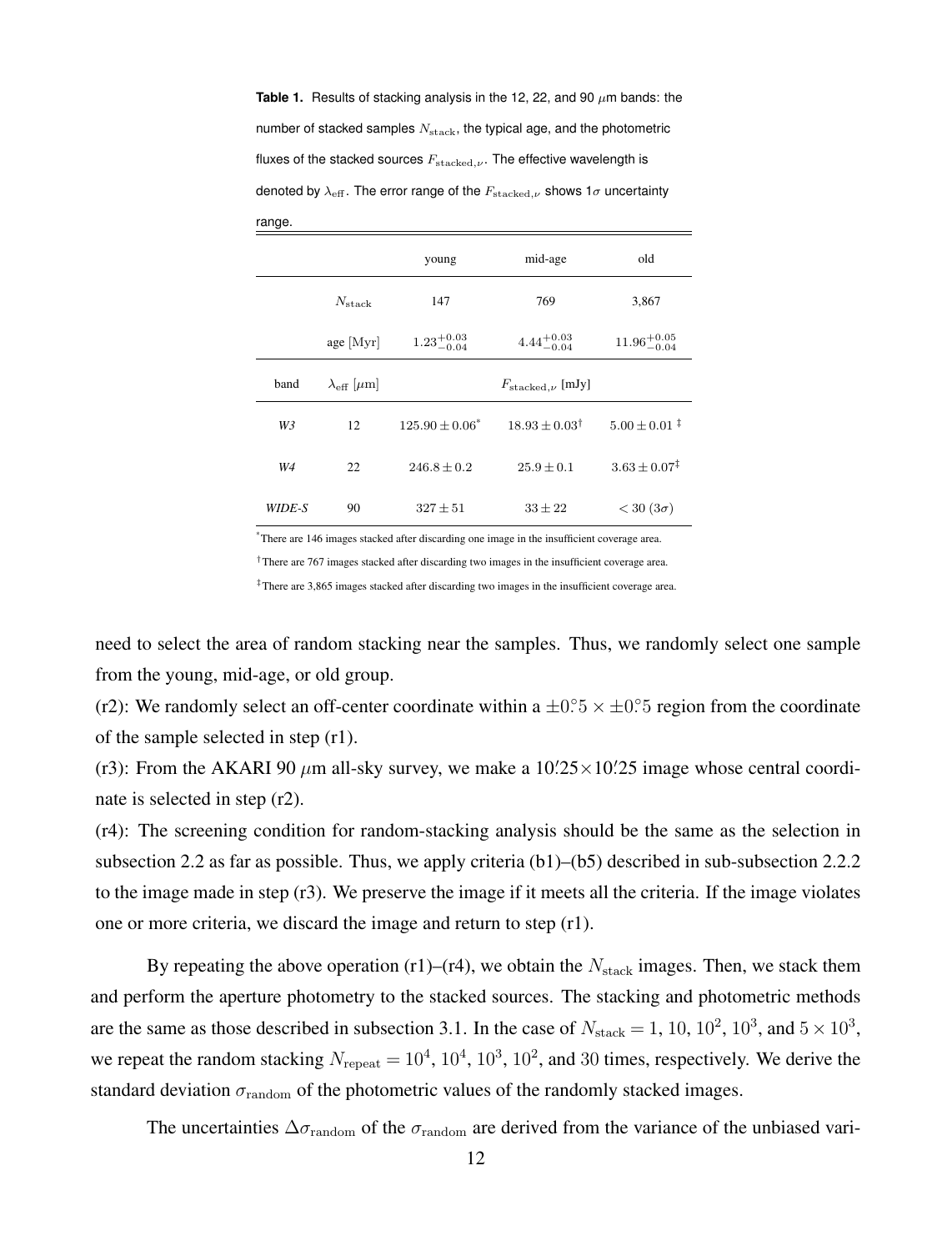**Table 1.** Results of stacking analysis in the 12, 22, and 90 *µ*m bands: the number of stacked samples  $N_{\text{stack}}$ , the typical age, and the photometric fluxes of the stacked sources  $F_{\text{stacked},ν}$ . The effective wavelength is denoted by  $\lambda_{\text{eff}}$ . The error range of the  $F_{\text{stacked},\nu}$  shows 1 $\sigma$  uncertainty

range.

|                |                                   | young                  | mid-age                        | old                        |
|----------------|-----------------------------------|------------------------|--------------------------------|----------------------------|
|                | $N_{\rm stack}$                   | 147                    | 769                            | 3,867                      |
|                | $age$ [Myr]                       | $1.23^{+0.03}_{-0.04}$ | $4.44^{+0.03}_{-0.04}$         | $11.96^{+0.05}_{-0.04}$    |
| band           | $\lambda_{\text{eff}}$ [ $\mu$ m] |                        | $F_{\text{stacked},\nu}$ [mJy] |                            |
| W <sub>3</sub> | 12                                | $125.90 \pm 0.06^*$    | $18.93 + 0.03^{\dagger}$       | $5.00 + 0.01$ <sup>‡</sup> |
| W4             | 22                                | $246.8 + 0.2$          | $25.9 + 0.1$                   | $3.63 + 0.07^{\ddagger}$   |
| WIDE-S         | 90                                | $327 \pm 51$           | $33 \pm 22$                    | $<$ 30 (3 $\sigma$ )       |

\*There are 146 images stacked after discarding one image in the insufficient coverage area.

*†*There are 767 images stacked after discarding two images in the insufficient coverage area.

*‡*There are 3,865 images stacked after discarding two images in the insufficient coverage area.

need to select the area of random stacking near the samples. Thus, we randomly select one sample from the young, mid-age, or old group.

(r2): We randomly select an off-center coordinate within a  $\pm$ 0*°*5  $\times$   $\pm$ 0*°*5 region from the coordinate of the sample selected in step (r1).

(r3): From the AKARI 90  $\mu$ m all-sky survey, we make a  $10\frac{25\times10}{25}$  image whose central coordinate is selected in step (r2).

(r4): The screening condition for random-stacking analysis should be the same as the selection in subsection 2.2 as far as possible. Thus, we apply criteria (b1)–(b5) described in sub-subsection 2.2.2 to the image made in step (r3). We preserve the image if it meets all the criteria. If the image violates one or more criteria, we discard the image and return to step (r1).

By repeating the above operation  $(r1)$ – $(r4)$ , we obtain the  $N_{\text{stack}}$  images. Then, we stack them and perform the aperture photometry to the stacked sources. The stacking and photometric methods are the same as those described in subsection 3.1. In the case of  $N_{\text{stack}} = 1, 10, 10^2, 10^3, \text{ and } 5 \times 10^3,$ we repeat the random stacking  $N_{\text{repeat}} = 10^4$ ,  $10^4$ ,  $10^3$ ,  $10^2$ , and 30 times, respectively. We derive the standard deviation  $\sigma_{\text{random}}$  of the photometric values of the randomly stacked images.

The uncertainties  $\Delta \sigma_{\text{random}}$  of the  $\sigma_{\text{random}}$  are derived from the variance of the unbiased vari-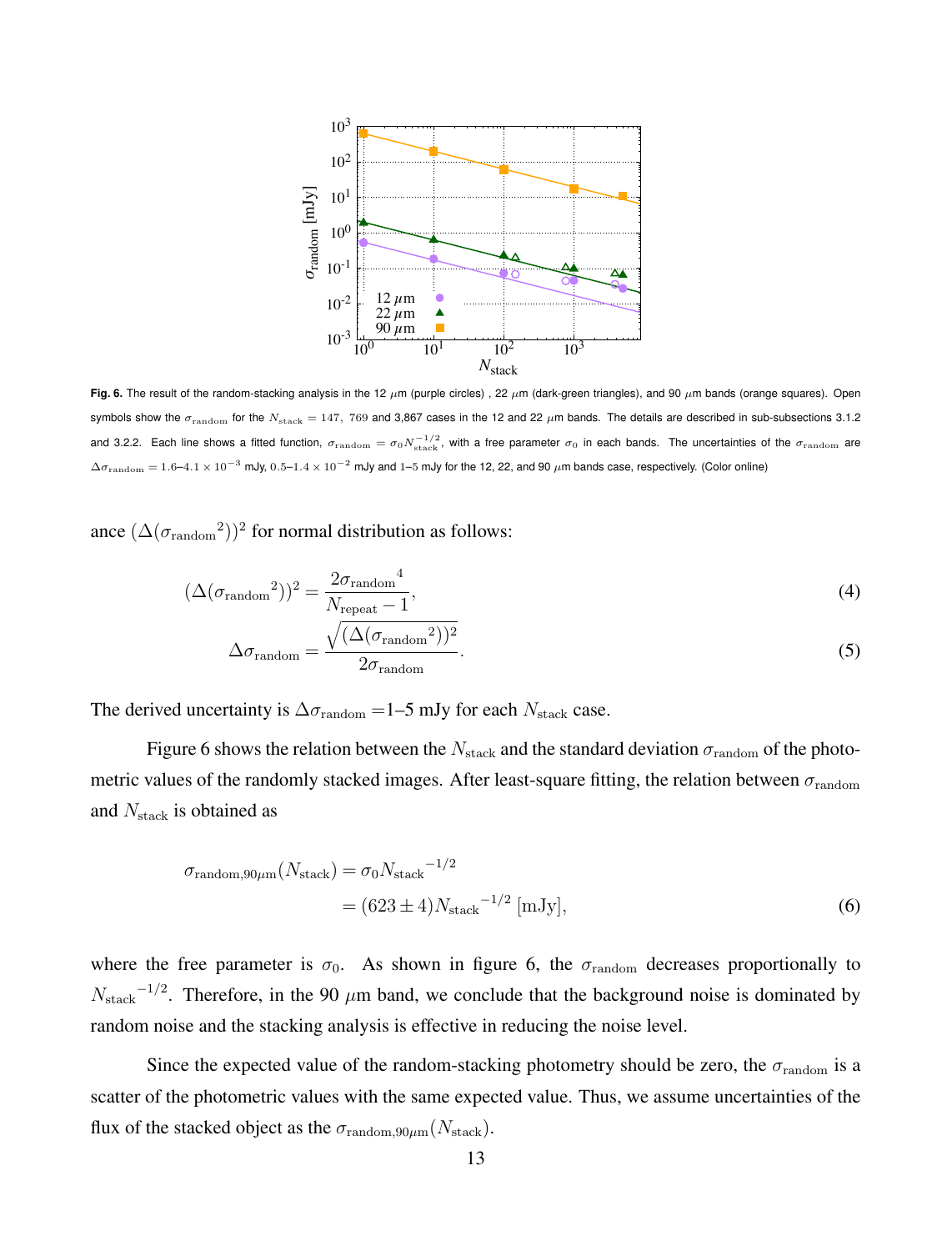

**Fig. 6.** The result of the random-stacking analysis in the 12 *µ*m (purple circles) , 22 *µ*m (dark-green triangles), and 90 *µ*m bands (orange squares). Open symbols show the  $\sigma_{\text{random}}$  for the  $N_{\text{stack}} = 147$ , 769 and 3,867 cases in the 12 and 22  $\mu$ m bands. The details are described in sub-subsections 3.1.2 and 3.2.2. Each line shows a fitted function,  $\sigma_{\rm random} = \sigma_0 N_{\rm stack}^{-1/2}$ , with a free parameter  $\sigma_0$  in each bands. The uncertainties of the  $\sigma_{\rm random}$  are <sup>∆</sup>*σ*random = 1*.*6–4*.*<sup>1</sup> *<sup>×</sup>* <sup>10</sup>*−*<sup>3</sup> mJy, <sup>0</sup>*.*5–1*.*<sup>4</sup> *<sup>×</sup>* <sup>10</sup>*−*<sup>2</sup> mJy and <sup>1</sup>–<sup>5</sup> mJy for the 12, 22, and 90 *<sup>µ</sup>*m bands case, respectively. (Color online)

ance  $(\Delta(\sigma_{\text{random}}^2))^2$  for normal distribution as follows:

$$
(\Delta(\sigma_{\text{random}}^2))^2 = \frac{2\sigma_{\text{random}}^4}{N_{\text{repeat}} - 1},
$$
\n
$$
\sqrt{(\Delta(\sigma - 2))^2}
$$
\n(4)

$$
\Delta \sigma_{\text{random}} = \frac{\sqrt{(\Delta(\sigma_{\text{random}}^2))^2}}{2\sigma_{\text{random}}}.
$$
\n(5)

The derived uncertainty is  $\Delta \sigma_{\text{random}} = 1$ –5 mJy for each *N*<sub>stack</sub> case.

Figure 6 shows the relation between the  $N_{\text{stack}}$  and the standard deviation  $\sigma_{\text{random}}$  of the photometric values of the randomly stacked images. After least-square fitting, the relation between *σ*random and *N*stack is obtained as

$$
\sigma_{\text{random},90\mu\text{m}}(N_{\text{stack}}) = \sigma_0 N_{\text{stack}}^{-1/2}
$$

$$
= (623 \pm 4) N_{\text{stack}}^{-1/2} [\text{mJy}], \tag{6}
$$

where the free parameter is  $\sigma_0$ . As shown in figure 6, the  $\sigma_{\text{random}}$  decreases proportionally to *N*<sub>stack</sub><sup>-1/2</sup>. Therefore, in the 90 *µ*m band, we conclude that the background noise is dominated by random noise and the stacking analysis is effective in reducing the noise level.

Since the expected value of the random-stacking photometry should be zero, the  $\sigma_{\text{random}}$  is a scatter of the photometric values with the same expected value. Thus, we assume uncertainties of the flux of the stacked object as the  $\sigma_{\text{random},90\mu\text{m}}(N_{\text{stack}})$ .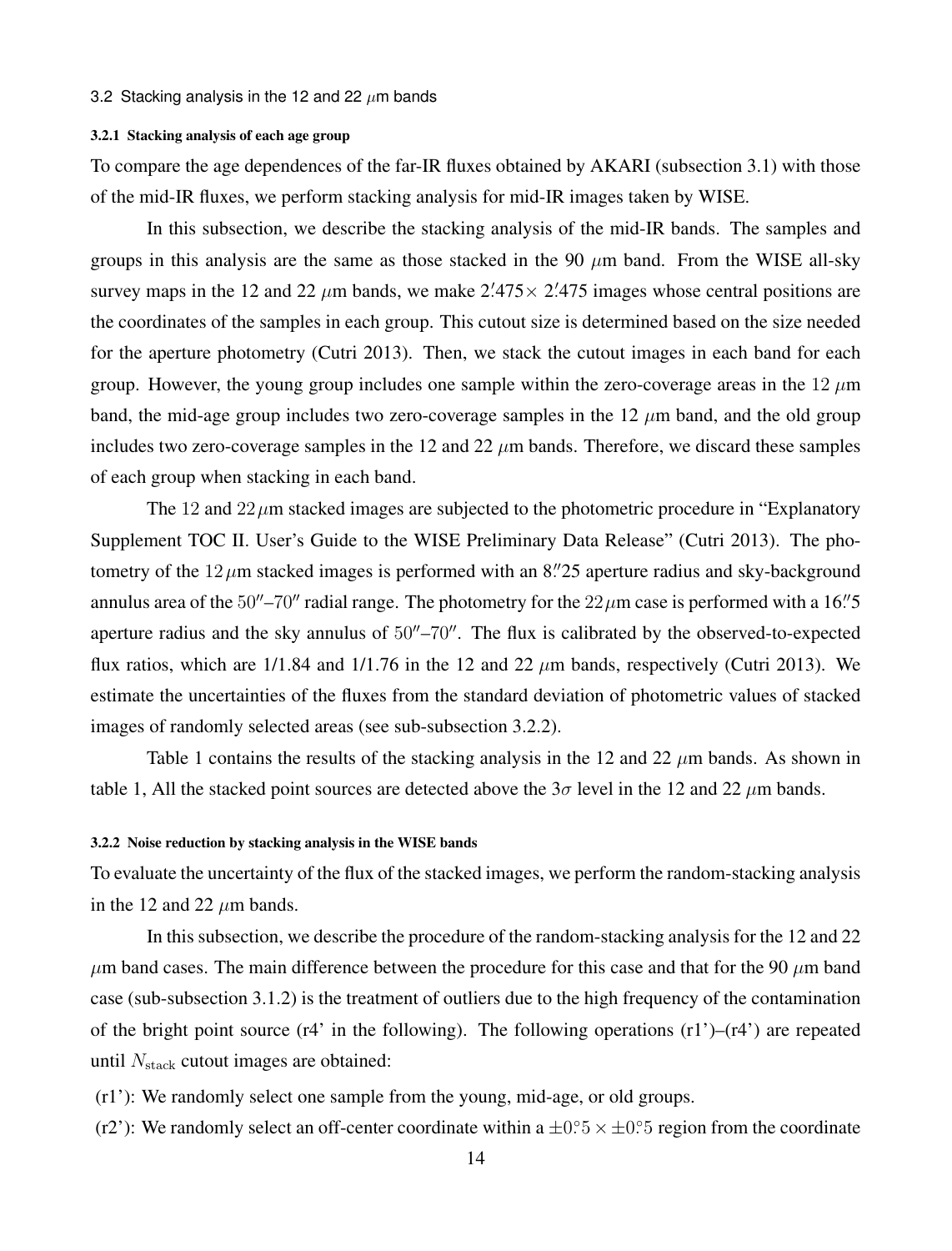#### 3.2 Stacking analysis in the 12 and 22 *µ*m bands

#### 3.2.1 Stacking analysis of each age group

To compare the age dependences of the far-IR fluxes obtained by AKARI (subsection 3.1) with those of the mid-IR fluxes, we perform stacking analysis for mid-IR images taken by WISE.

In this subsection, we describe the stacking analysis of the mid-IR bands. The samples and groups in this analysis are the same as those stacked in the 90 *µ*m band. From the WISE all-sky survey maps in the 12 and 22  $\mu$ m bands, we make 2.<sup>7</sup>475  $\times$  2.<sup>7</sup>475 images whose central positions are the coordinates of the samples in each group. This cutout size is determined based on the size needed for the aperture photometry (Cutri 2013). Then, we stack the cutout images in each band for each group. However, the young group includes one sample within the zero-coverage areas in the  $12 \mu m$ band, the mid-age group includes two zero-coverage samples in the 12 *µ*m band, and the old group includes two zero-coverage samples in the 12 and  $22 \mu m$  bands. Therefore, we discard these samples of each group when stacking in each band.

The 12 and 22*µ*m stacked images are subjected to the photometric procedure in "Explanatory Supplement TOC II. User's Guide to the WISE Preliminary Data Release" (Cutri 2013). The photometry of the 12*µ*m stacked images is performed with an 8*. ′′*25 aperture radius and sky-background annulus area of the  $50''–70''$  radial range. The photometry for the  $22\,\mu$ m case is performed with a  $16''$ 5 aperture radius and the sky annulus of 50*′′*–70*′′*. The flux is calibrated by the observed-to-expected flux ratios, which are 1/1.84 and 1/1.76 in the 12 and 22 *µ*m bands, respectively (Cutri 2013). We estimate the uncertainties of the fluxes from the standard deviation of photometric values of stacked images of randomly selected areas (see sub-subsection 3.2.2).

Table 1 contains the results of the stacking analysis in the 12 and 22  $\mu$ m bands. As shown in table 1, All the stacked point sources are detected above the  $3\sigma$  level in the 12 and 22  $\mu$ m bands.

# 3.2.2 Noise reduction by stacking analysis in the WISE bands

To evaluate the uncertainty of the flux of the stacked images, we perform the random-stacking analysis in the 12 and 22  $\mu$ m bands.

In this subsection, we describe the procedure of the random-stacking analysis for the 12 and 22  $\mu$ m band cases. The main difference between the procedure for this case and that for the 90  $\mu$ m band case (sub-subsection 3.1.2) is the treatment of outliers due to the high frequency of the contamination of the bright point source (r4' in the following). The following operations  $(r1')-(r4')$  are repeated until  $N_{\rm stack}$  cutout images are obtained:

(r1'): We randomly select one sample from the young, mid-age, or old groups.

(r2'): We randomly select an off-center coordinate within a  $\pm 0.5 \times \pm 0.5$  region from the coordinate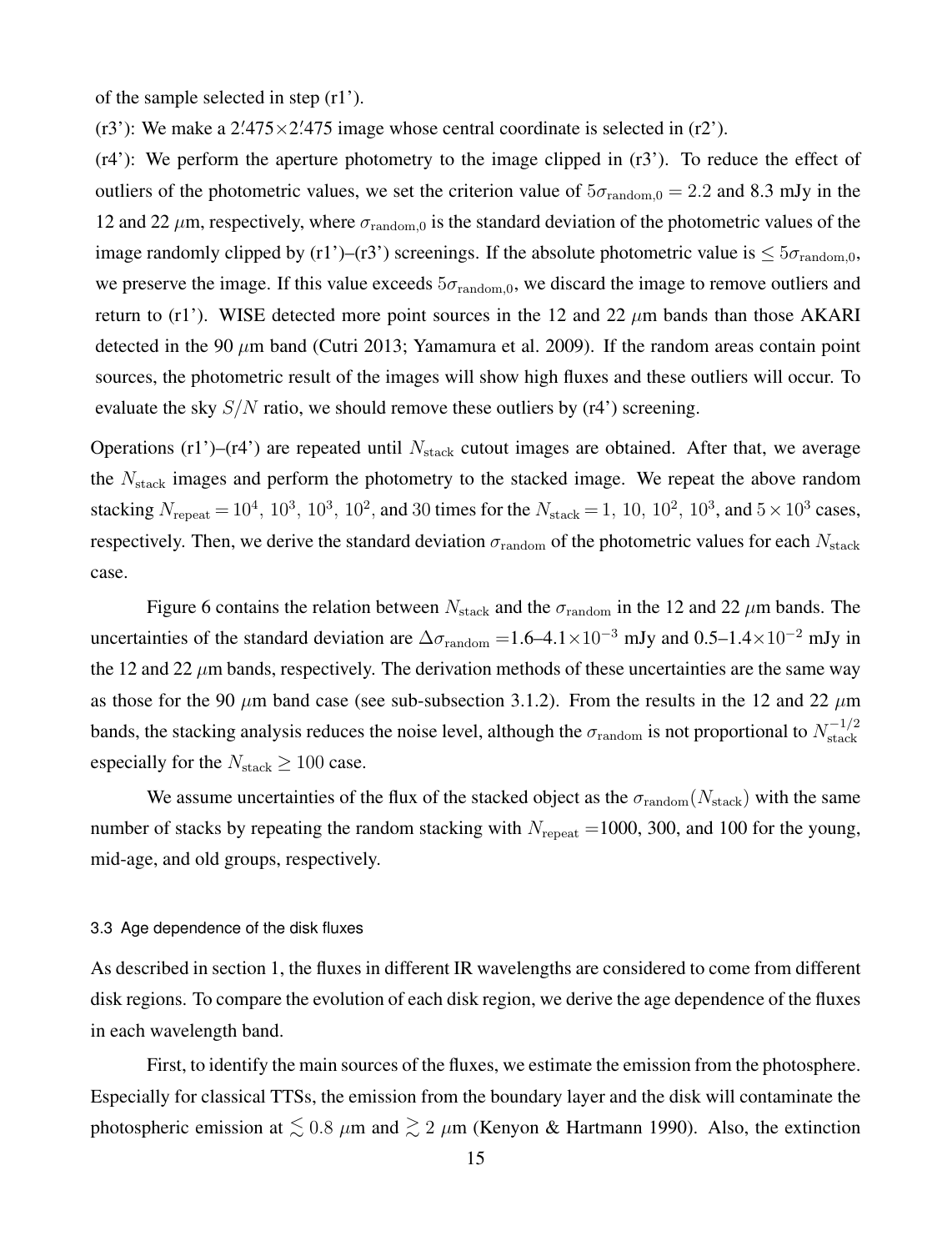of the sample selected in step (r1').

( $r3$ ): We make a 2.475 $\times$ 2.475 image whose central coordinate is selected in ( $r2$ ).

 $(r4')$ : We perform the aperture photometry to the image clipped in  $(r3')$ . To reduce the effect of outliers of the photometric values, we set the criterion value of  $5\sigma_{\text{random},0} = 2.2$  and 8.3 mJy in the 12 and 22  $\mu$ m, respectively, where  $\sigma_{\text{random},0}$  is the standard deviation of the photometric values of the image randomly clipped by (r1')–(r3') screenings. If the absolute photometric value is  $\leq 5\sigma_{\text{random},0}$ , we preserve the image. If this value exceeds  $5\sigma_{\text{random},0}$ , we discard the image to remove outliers and return to (r1'). WISE detected more point sources in the 12 and 22 *µ*m bands than those AKARI detected in the 90 *µ*m band (Cutri 2013; Yamamura et al. 2009). If the random areas contain point sources, the photometric result of the images will show high fluxes and these outliers will occur. To evaluate the sky *S/N* ratio, we should remove these outliers by (r4') screening.

Operations  $(r1')$ – $(r4')$  are repeated until  $N_{stack}$  cutout images are obtained. After that, we average the *N*stack images and perform the photometry to the stacked image. We repeat the above random stacking  $N_{\text{repeat}} = 10^4$ ,  $10^3$ ,  $10^3$ ,  $10^2$ , and 30 times for the  $N_{\text{stack}} = 1$ ,  $10$ ,  $10^2$ ,  $10^3$ , and  $5 \times 10^3$  cases, respectively. Then, we derive the standard deviation  $\sigma_{\text{random}}$  of the photometric values for each  $N_{\text{stack}}$ case.

Figure 6 contains the relation between  $N_{\text{stack}}$  and the  $\sigma_{\text{random}}$  in the 12 and 22  $\mu$ m bands. The uncertainties of the standard deviation are <sup>∆</sup>*σ*random <sup>=</sup>1.6–4.1*×*10*−*<sup>3</sup> mJy and 0.5–1.4*×*10*−*<sup>2</sup> mJy in the 12 and 22  $\mu$ m bands, respectively. The derivation methods of these uncertainties are the same way as those for the 90  $\mu$ m band case (see sub-subsection 3.1.2). From the results in the 12 and 22  $\mu$ m bands, the stacking analysis reduces the noise level, although the  $\sigma_{\text{random}}$  is not proportional to  $N_{\text{stack}}^{-1/2}$ especially for the  $N_{\text{stack}} \ge 100$  case.

We assume uncertainties of the flux of the stacked object as the  $\sigma_{\text{random}}(N_{\text{stack}})$  with the same number of stacks by repeating the random stacking with  $N_{\text{repeat}} = 1000$ , 300, and 100 for the young, mid-age, and old groups, respectively.

#### 3.3 Age dependence of the disk fluxes

As described in section 1, the fluxes in different IR wavelengths are considered to come from different disk regions. To compare the evolution of each disk region, we derive the age dependence of the fluxes in each wavelength band.

First, to identify the main sources of the fluxes, we estimate the emission from the photosphere. Especially for classical TTSs, the emission from the boundary layer and the disk will contaminate the photospheric emission at  $\leq 0.8 \ \mu \text{m}$  and  $\geq 2 \ \mu \text{m}$  (Kenyon & Hartmann 1990). Also, the extinction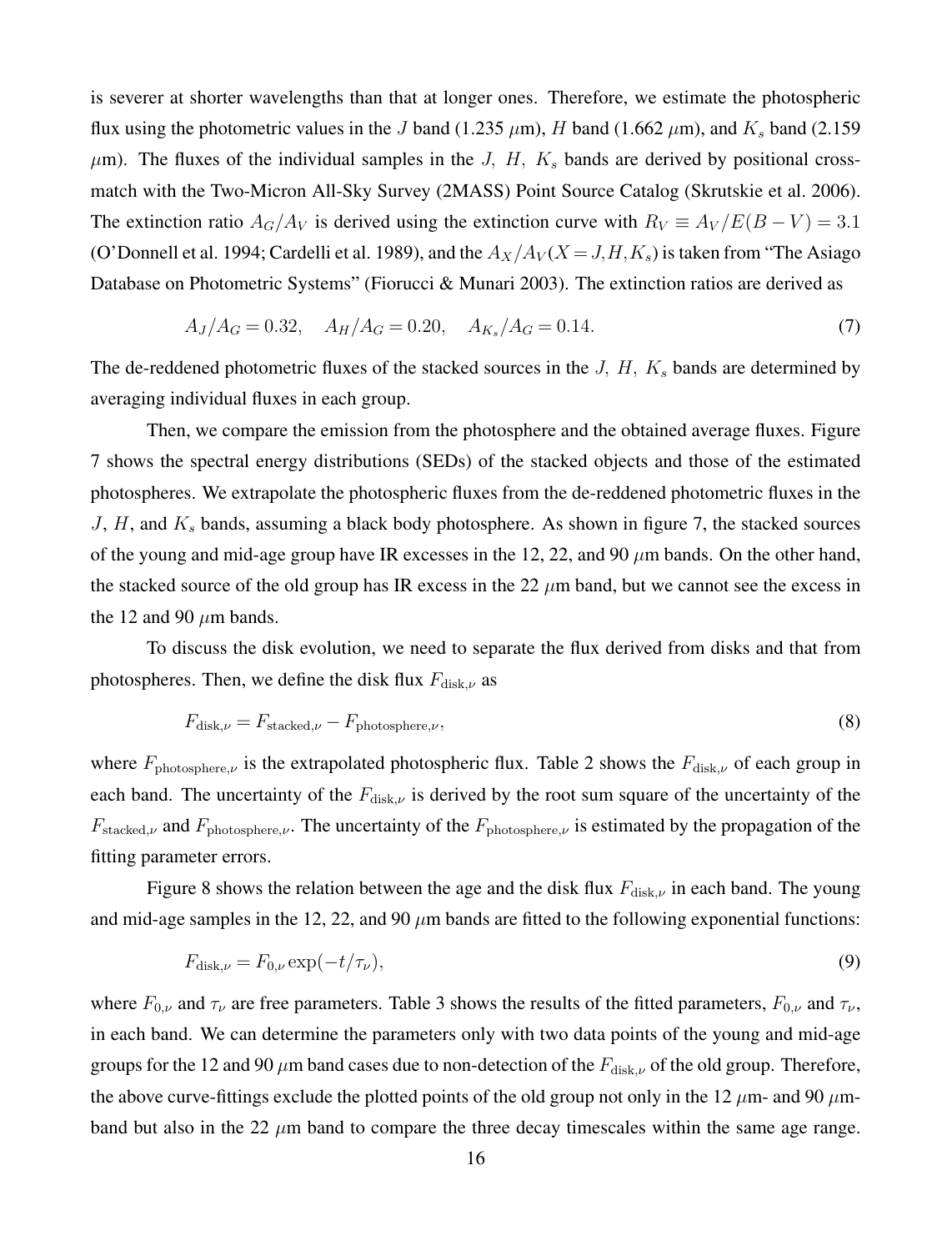is severer at shorter wavelengths than that at longer ones. Therefore, we estimate the photospheric flux using the photometric values in the *J* band (1.235  $\mu$ m), *H* band (1.662  $\mu$ m), and *K<sub>s</sub>* band (2.159  $\mu$ m). The fluxes of the individual samples in the *J, H, K<sub>s</sub>* bands are derived by positional crossmatch with the Two-Micron All-Sky Survey (2MASS) Point Source Catalog (Skrutskie et al. 2006). The extinction ratio  $A_G/A_V$  is derived using the extinction curve with  $R_V \equiv A_V/E(B-V) = 3.1$ (O'Donnell et al. 1994; Cardelli et al. 1989), and the  $A_X/A_V(X = J, H, K_s)$  is taken from "The Asiago" Database on Photometric Systems" (Fiorucci & Munari 2003). The extinction ratios are derived as

$$
A_J/A_G = 0.32, \quad A_H/A_G = 0.20, \quad A_{K_s}/A_G = 0.14. \tag{7}
$$

The de-reddened photometric fluxes of the stacked sources in the *J, H, K<sup>s</sup>* bands are determined by averaging individual fluxes in each group.

Then, we compare the emission from the photosphere and the obtained average fluxes. Figure 7 shows the spectral energy distributions (SEDs) of the stacked objects and those of the estimated photospheres. We extrapolate the photospheric fluxes from the de-reddened photometric fluxes in the *J*, *H*, and *K<sup>s</sup>* bands, assuming a black body photosphere. As shown in figure 7, the stacked sources of the young and mid-age group have IR excesses in the 12, 22, and 90 *µ*m bands. On the other hand, the stacked source of the old group has IR excess in the 22 *µ*m band, but we cannot see the excess in the 12 and 90  $\mu$ m bands.

To discuss the disk evolution, we need to separate the flux derived from disks and that from photospheres. Then, we define the disk flux *F*<sub>disk,*ν*</sub> as

$$
F_{\text{disk},\nu} = F_{\text{stacked},\nu} - F_{\text{photosphere},\nu},\tag{8}
$$

where  $F_{\text{photosphere},\nu}$  is the extrapolated photospheric flux. Table 2 shows the  $F_{\text{disk},\nu}$  of each group in each band. The uncertainty of the  $F_{disk,\nu}$  is derived by the root sum square of the uncertainty of the  $F_{\text{stacked},\nu}$  and  $F_{\text{photosphere},\nu}$ . The uncertainty of the  $F_{\text{photosphere},\nu}$  is estimated by the propagation of the fitting parameter errors.

Figure 8 shows the relation between the age and the disk flux  $F_{disk,ν}$  in each band. The young and mid-age samples in the 12, 22, and 90  $\mu$ m bands are fitted to the following exponential functions:

$$
F_{\text{disk},\nu} = F_{0,\nu} \exp(-t/\tau_{\nu}),\tag{9}
$$

where  $F_{0,\nu}$  and  $\tau_{\nu}$  are free parameters. Table 3 shows the results of the fitted parameters,  $F_{0,\nu}$  and  $\tau_{\nu}$ , in each band. We can determine the parameters only with two data points of the young and mid-age groups for the 12 and 90  $\mu$ m band cases due to non-detection of the  $F_{disk\mu}$  of the old group. Therefore, the above curve-fittings exclude the plotted points of the old group not only in the 12  $\mu$ m- and 90  $\mu$ mband but also in the 22 *µ*m band to compare the three decay timescales within the same age range.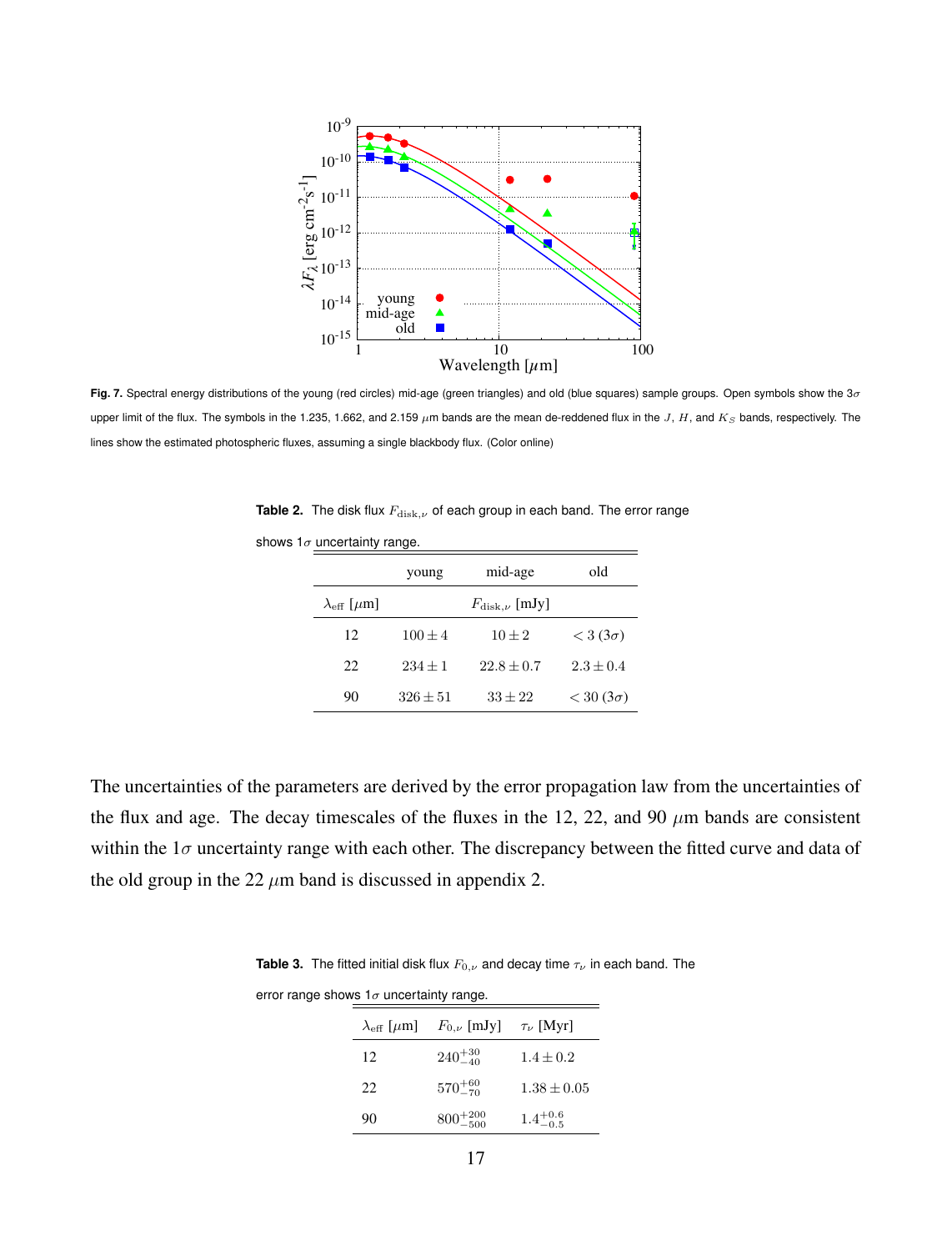

**Fig. 7.** Spectral energy distributions of the young (red circles) mid-age (green triangles) and old (blue squares) sample groups. Open symbols show the 3*σ* upper limit of the flux. The symbols in the 1.235, 1.662, and 2.159  $\mu$ m bands are the mean de-reddened flux in the *J*, *H*, and  $K_S$  bands, respectively. The lines show the estimated photospheric fluxes, assuming a single blackbody flux. (Color online)

**Table 2.** The disk flux  $F_{\text{disk},\nu}$  of each group in each band. The error range

|                                   | young                       | mid-age      | old                  |
|-----------------------------------|-----------------------------|--------------|----------------------|
| $\lambda_{\text{eff}}$ [ $\mu$ m] | $F_{\text{disk},\nu}$ [mJy] |              |                      |
| 12                                | $100 \pm 4$                 | $10 \pm 2$   | $<$ 3 (3 $\sigma$ )  |
| 22                                | $234 + 1$                   | $22.8 + 0.7$ | $2.3 + 0.4$          |
| 90                                | $326 \pm 51$                | $33 \pm 22$  | $<$ 30 (3 $\sigma$ ) |

shows 1*σ* uncertainty range.

The uncertainties of the parameters are derived by the error propagation law from the uncertainties of the flux and age. The decay timescales of the fluxes in the 12, 22, and 90 *µ*m bands are consistent within the  $1\sigma$  uncertainty range with each other. The discrepancy between the fitted curve and data of the old group in the 22  $\mu$ m band is discussed in appendix 2.

**Table 3.** The fitted initial disk flux  $F_{0,\nu}$  and decay time  $\tau_{\nu}$  in each band. The

| error range shows $1\sigma$ uncertainty range. |     |                                                                        |                     |  |  |
|------------------------------------------------|-----|------------------------------------------------------------------------|---------------------|--|--|
|                                                |     | $\lambda_{\text{eff}}$ [ $\mu$ m] $F_{0,\nu}$ [mJy] $\tau_{\nu}$ [Myr] |                     |  |  |
|                                                | 12  | $240^{+30}_{-40}$                                                      | $1.4 \pm 0.2$       |  |  |
|                                                | 22. | $570^{+60}_{-70}$                                                      | $1.38 \pm 0.05$     |  |  |
|                                                | 90  | $800^{+200}_{-500}$                                                    | $1.4^{+0.6}_{-0.5}$ |  |  |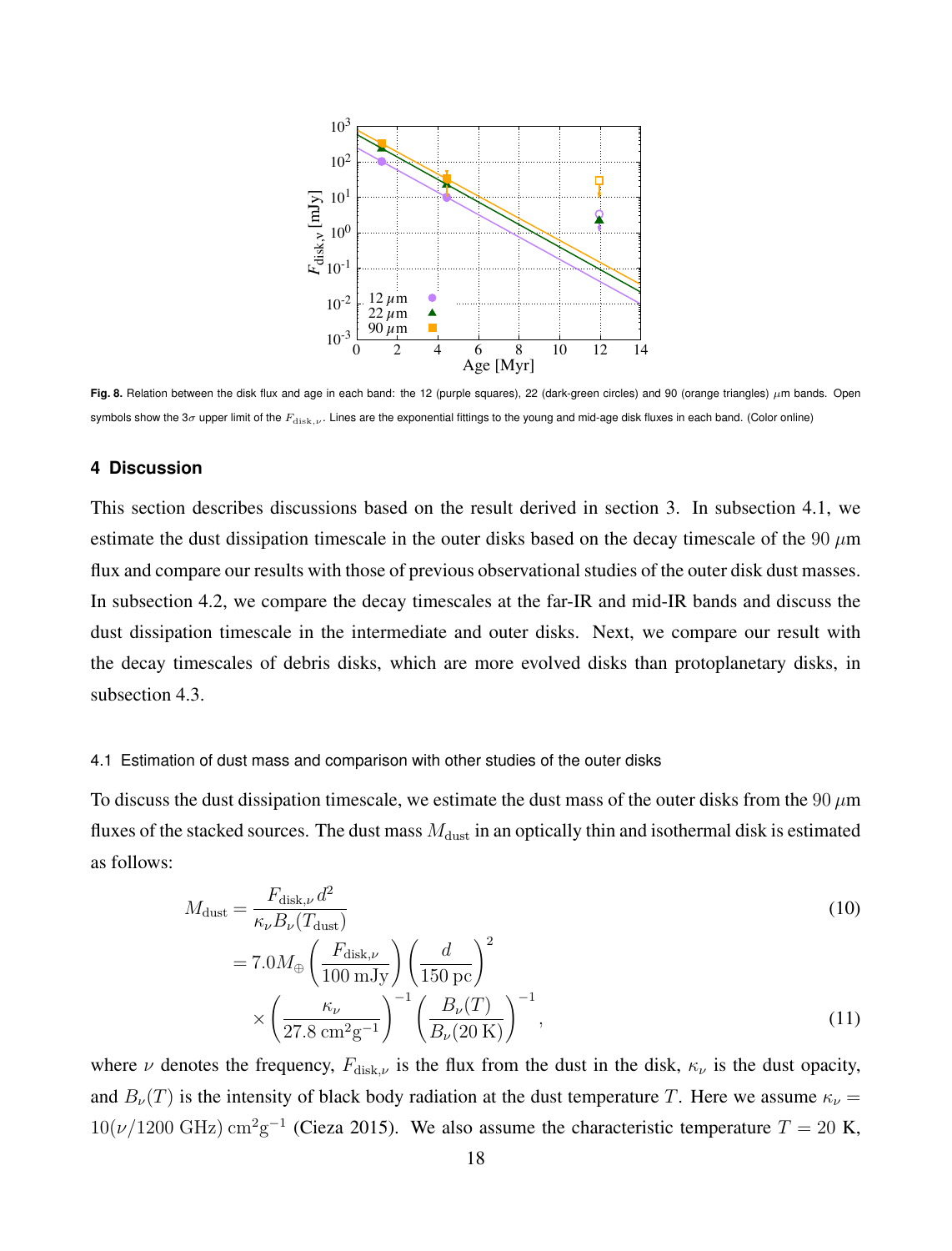

**Fig. 8.** Relation between the disk flux and age in each band: the 12 (purple squares), 22 (dark-green circles) and 90 (orange triangles) *µ*m bands. Open symbols show the 3*σ* upper limit of the *F*disk*,ν* . Lines are the exponential fittings to the young and mid-age disk fluxes in each band. (Color online)

# **4 Discussion**

This section describes discussions based on the result derived in section 3. In subsection 4.1, we estimate the dust dissipation timescale in the outer disks based on the decay timescale of the 90 *µ*m flux and compare our results with those of previous observational studies of the outer disk dust masses. In subsection 4.2, we compare the decay timescales at the far-IR and mid-IR bands and discuss the dust dissipation timescale in the intermediate and outer disks. Next, we compare our result with the decay timescales of debris disks, which are more evolved disks than protoplanetary disks, in subsection 4.3.

### 4.1 Estimation of dust mass and comparison with other studies of the outer disks

To discuss the dust dissipation timescale, we estimate the dust mass of the outer disks from the 90 *µ*m fluxes of the stacked sources. The dust mass  $M<sub>dust</sub>$  in an optically thin and isothermal disk is estimated as follows:

$$
M_{\text{dust}} = \frac{F_{\text{disk},\nu} d^2}{\kappa_{\nu} B_{\nu} (T_{\text{dust}})} \n= 7.0 M_{\oplus} \left( \frac{F_{\text{disk},\nu}}{100 \text{ mJy}} \right) \left( \frac{d}{150 \text{ pc}} \right)^2 \n\times \left( \frac{\kappa_{\nu}}{27.8 \text{ cm}^2 \text{g}^{-1}} \right)^{-1} \left( \frac{B_{\nu}(T)}{B_{\nu}(20 \text{ K})} \right)^{-1},
$$
\n(11)

where *ν* denotes the frequency,  $F_{\text{disk},\nu}$  is the flux from the dust in the disk,  $\kappa_{\nu}$  is the dust opacity, and  $B_\nu(T)$  is the intensity of black body radiation at the dust temperature *T*. Here we assume  $\kappa_\nu$  =  $10(\nu/1200 \text{ GHz}) \text{ cm}^2 \text{g}^{-1}$  (Cieza 2015). We also assume the characteristic temperature  $T = 20 \text{ K}$ ,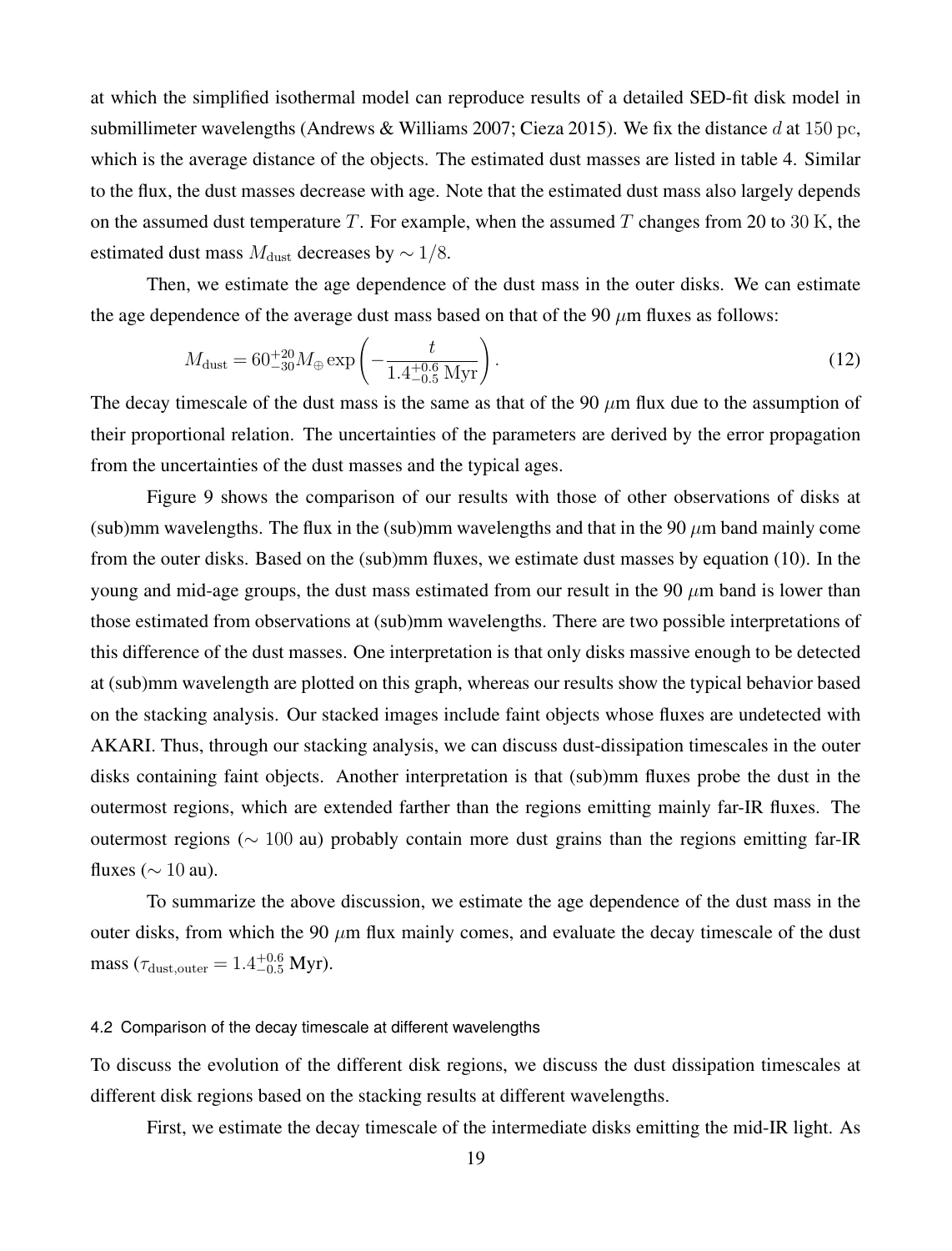at which the simplified isothermal model can reproduce results of a detailed SED-fit disk model in submillimeter wavelengths (Andrews & Williams 2007; Cieza 2015). We fix the distance *d* at 150 pc, which is the average distance of the objects. The estimated dust masses are listed in table 4. Similar to the flux, the dust masses decrease with age. Note that the estimated dust mass also largely depends on the assumed dust temperature *T*. For example, when the assumed *T* changes from 20 to 30 K, the estimated dust mass  $M_{\text{dust}}$  decreases by  $\sim 1/8$ .

Then, we estimate the age dependence of the dust mass in the outer disks. We can estimate the age dependence of the average dust mass based on that of the 90  $\mu$ m fluxes as follows:

$$
M_{\text{dust}} = 60^{+20}_{-30} M_{\oplus} \exp\left(-\frac{t}{1.4^{+0.6}_{-0.5} \text{ Myr}}\right). \tag{12}
$$

The decay timescale of the dust mass is the same as that of the 90 *µ*m flux due to the assumption of their proportional relation. The uncertainties of the parameters are derived by the error propagation from the uncertainties of the dust masses and the typical ages.

Figure 9 shows the comparison of our results with those of other observations of disks at (sub)mm wavelengths. The flux in the (sub)mm wavelengths and that in the 90  $\mu$ m band mainly come from the outer disks. Based on the (sub)mm fluxes, we estimate dust masses by equation (10). In the young and mid-age groups, the dust mass estimated from our result in the 90 *µ*m band is lower than those estimated from observations at (sub)mm wavelengths. There are two possible interpretations of this difference of the dust masses. One interpretation is that only disks massive enough to be detected at (sub)mm wavelength are plotted on this graph, whereas our results show the typical behavior based on the stacking analysis. Our stacked images include faint objects whose fluxes are undetected with AKARI. Thus, through our stacking analysis, we can discuss dust-dissipation timescales in the outer disks containing faint objects. Another interpretation is that (sub)mm fluxes probe the dust in the outermost regions, which are extended farther than the regions emitting mainly far-IR fluxes. The outermost regions (*∼* 100 au) probably contain more dust grains than the regions emitting far-IR fluxes (*∼* 10 au).

To summarize the above discussion, we estimate the age dependence of the dust mass in the outer disks, from which the 90  $\mu$ m flux mainly comes, and evaluate the decay timescale of the dust mass ( $\tau_{\text{dust,outer}} = 1.4^{+0.6}_{-0.5} \text{ Myr}$ ).

# 4.2 Comparison of the decay timescale at different wavelengths

To discuss the evolution of the different disk regions, we discuss the dust dissipation timescales at different disk regions based on the stacking results at different wavelengths.

First, we estimate the decay timescale of the intermediate disks emitting the mid-IR light. As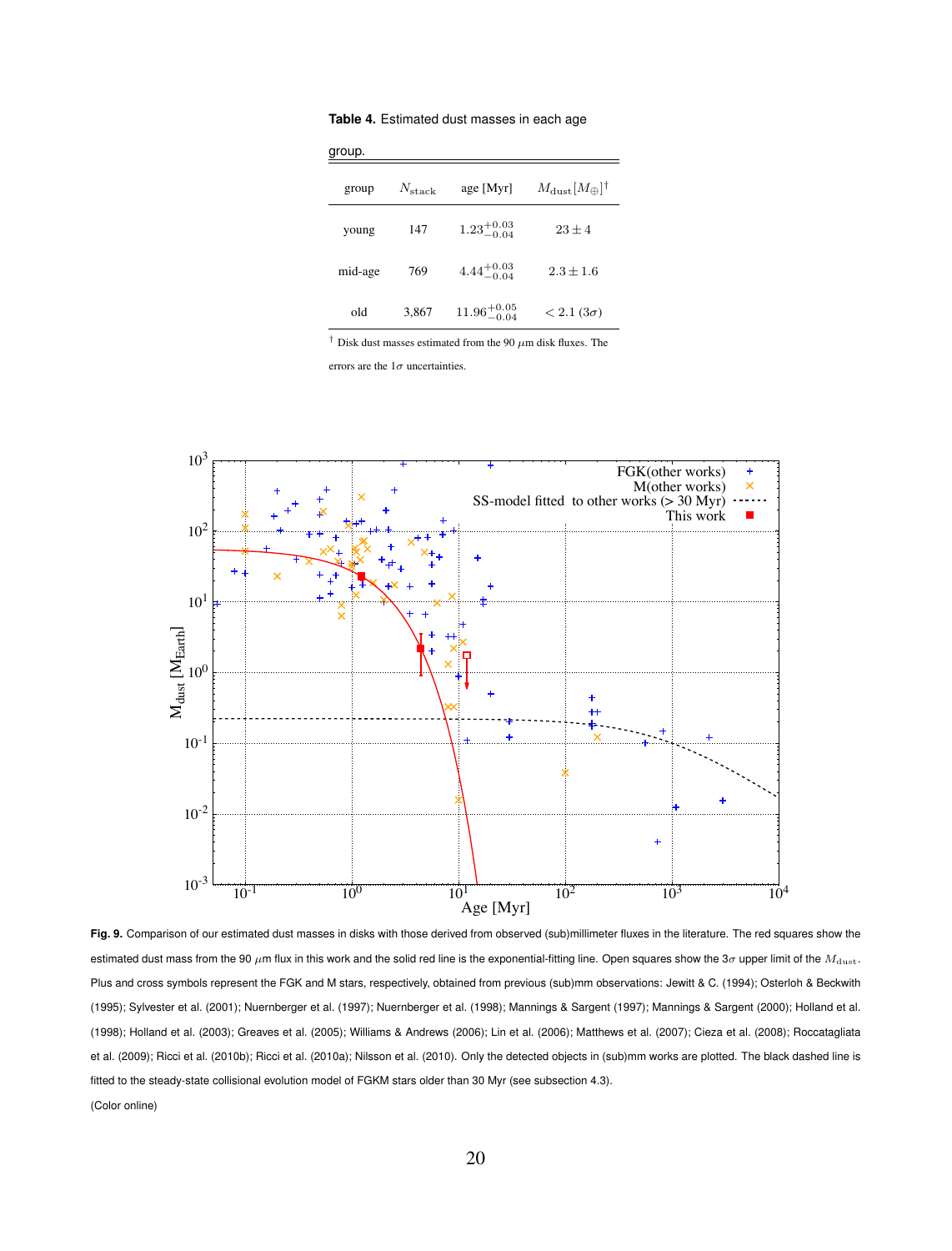| group.  |                 |                         |                                       |  |  |
|---------|-----------------|-------------------------|---------------------------------------|--|--|
| group   | $N_{\rm stack}$ | age [Myr]               | $M_{\rm dust} [M_{\oplus}]^{\dagger}$ |  |  |
| young   | 147             | $1.23^{+0.03}_{-0.04}$  | $23 + 4$                              |  |  |
| mid-age | 769             | $4.44^{+0.03}_{-0.04}$  | $2.3 \pm 1.6$                         |  |  |
| old     | 3,867           | $11.96^{+0.05}_{-0.04}$ | $< 2.1(3\sigma)$                      |  |  |

**Table 4.** Estimated dust masses in each age

*†* Disk dust masses estimated from the 90 *µ*m disk fluxes. The

errors are the 1*σ* uncertainties.



**Fig. 9.** Comparison of our estimated dust masses in disks with those derived from observed (sub)millimeter fluxes in the literature. The red squares show the estimated dust mass from the 90 *µ*m flux in this work and the solid red line is the exponential-fitting line. Open squares show the 3*σ* upper limit of the *M*dust. Plus and cross symbols represent the FGK and M stars, respectively, obtained from previous (sub)mm observations: Jewitt & C. (1994); Osterloh & Beckwith (1995); Sylvester et al. (2001); Nuernberger et al. (1997); Nuernberger et al. (1998); Mannings & Sargent (1997); Mannings & Sargent (2000); Holland et al. (1998); Holland et al. (2003); Greaves et al. (2005); Williams & Andrews (2006); Lin et al. (2006); Matthews et al. (2007); Cieza et al. (2008); Roccatagliata et al. (2009); Ricci et al. (2010b); Ricci et al. (2010a); Nilsson et al. (2010). Only the detected objects in (sub)mm works are plotted. The black dashed line is fitted to the steady-state collisional evolution model of FGKM stars older than 30 Myr (see subsection 4.3). (Color online)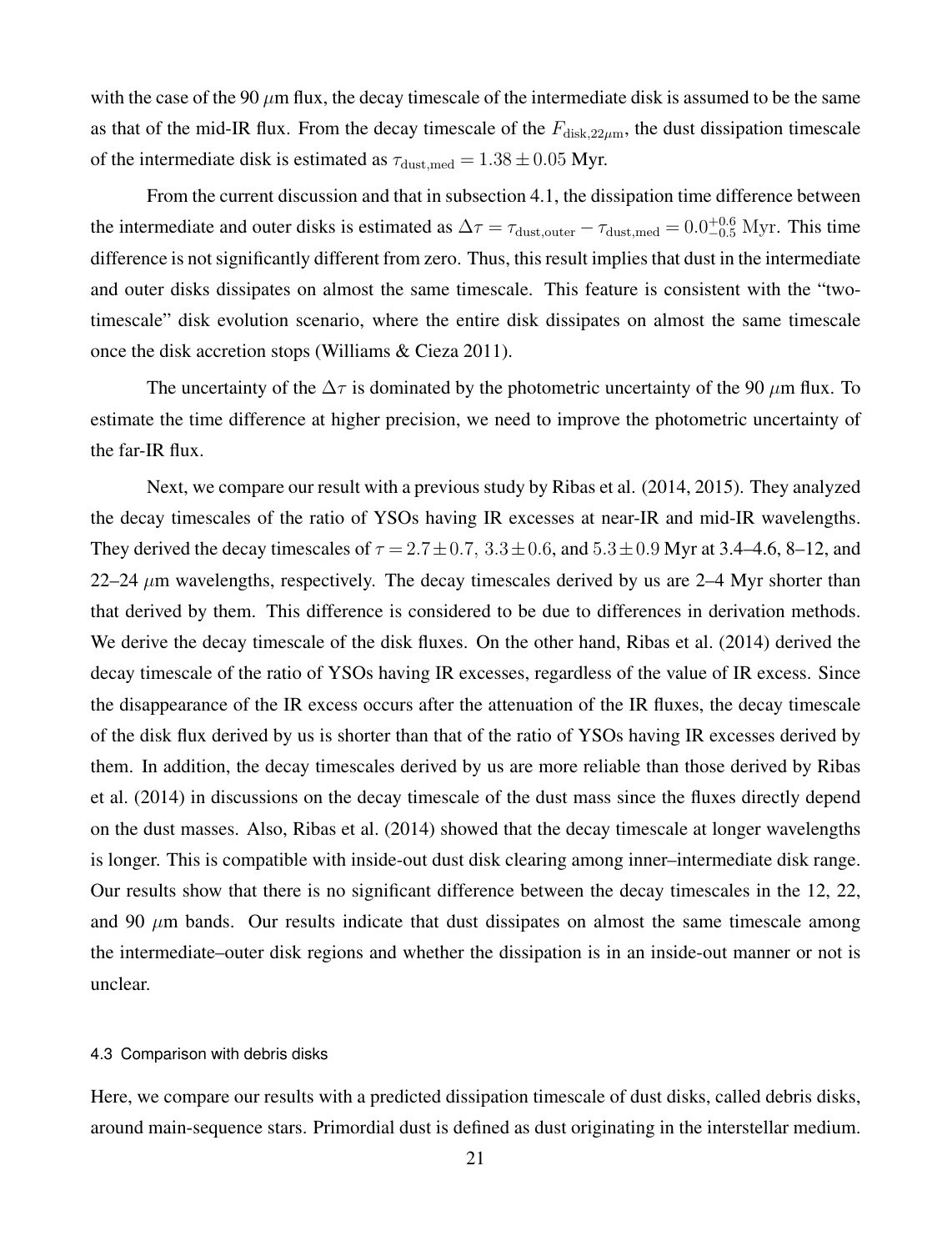with the case of the 90  $\mu$ m flux, the decay timescale of the intermediate disk is assumed to be the same as that of the mid-IR flux. From the decay timescale of the  $F_{disk,22\mu m}$ , the dust dissipation timescale of the intermediate disk is estimated as  $\tau_{\text{dust,med}} = 1.38 \pm 0.05$  Myr.

From the current discussion and that in subsection 4.1, the dissipation time difference between the intermediate and outer disks is estimated as  $\Delta \tau = \tau_{\text{dust,outer}} - \tau_{\text{dust,med}} = 0.0_{-0.5}^{+0.6} \text{ Myr.}$  This time difference is not significantly different from zero. Thus, this result implies that dust in the intermediate and outer disks dissipates on almost the same timescale. This feature is consistent with the "twotimescale" disk evolution scenario, where the entire disk dissipates on almost the same timescale once the disk accretion stops (Williams & Cieza 2011).

The uncertainty of the ∆*τ* is dominated by the photometric uncertainty of the 90 *µ*m flux. To estimate the time difference at higher precision, we need to improve the photometric uncertainty of the far-IR flux.

Next, we compare our result with a previous study by Ribas et al. (2014, 2015). They analyzed the decay timescales of the ratio of YSOs having IR excesses at near-IR and mid-IR wavelengths. They derived the decay timescales of  $\tau = 2.7 \pm 0.7$ ,  $3.3 \pm 0.6$ , and  $5.3 \pm 0.9$  Myr at 3.4–4.6, 8–12, and 22–24 *µ*m wavelengths, respectively. The decay timescales derived by us are 2–4 Myr shorter than that derived by them. This difference is considered to be due to differences in derivation methods. We derive the decay timescale of the disk fluxes. On the other hand, Ribas et al. (2014) derived the decay timescale of the ratio of YSOs having IR excesses, regardless of the value of IR excess. Since the disappearance of the IR excess occurs after the attenuation of the IR fluxes, the decay timescale of the disk flux derived by us is shorter than that of the ratio of YSOs having IR excesses derived by them. In addition, the decay timescales derived by us are more reliable than those derived by Ribas et al. (2014) in discussions on the decay timescale of the dust mass since the fluxes directly depend on the dust masses. Also, Ribas et al. (2014) showed that the decay timescale at longer wavelengths is longer. This is compatible with inside-out dust disk clearing among inner–intermediate disk range. Our results show that there is no significant difference between the decay timescales in the 12, 22, and 90  $\mu$ m bands. Our results indicate that dust dissipates on almost the same timescale among the intermediate–outer disk regions and whether the dissipation is in an inside-out manner or not is unclear.

# 4.3 Comparison with debris disks

Here, we compare our results with a predicted dissipation timescale of dust disks, called debris disks, around main-sequence stars. Primordial dust is defined as dust originating in the interstellar medium.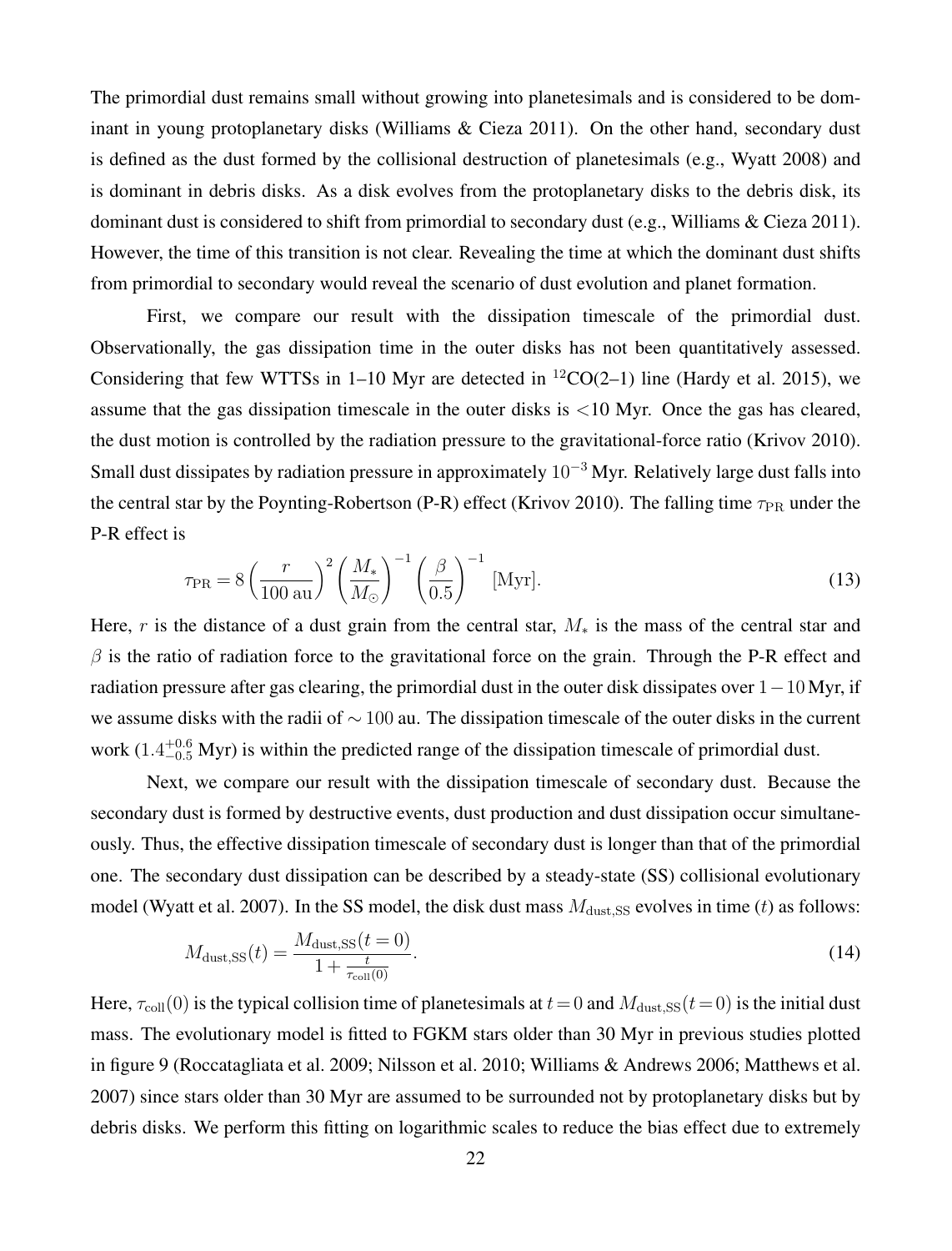The primordial dust remains small without growing into planetesimals and is considered to be dominant in young protoplanetary disks (Williams & Cieza 2011). On the other hand, secondary dust is defined as the dust formed by the collisional destruction of planetesimals (e.g., Wyatt 2008) and is dominant in debris disks. As a disk evolves from the protoplanetary disks to the debris disk, its dominant dust is considered to shift from primordial to secondary dust (e.g., Williams & Cieza 2011). However, the time of this transition is not clear. Revealing the time at which the dominant dust shifts from primordial to secondary would reveal the scenario of dust evolution and planet formation.

First, we compare our result with the dissipation timescale of the primordial dust. Observationally, the gas dissipation time in the outer disks has not been quantitatively assessed. Considering that few WTTSs in 1–10 Myr are detected in  ${}^{12}CO(2-1)$  line (Hardy et al. 2015), we assume that the gas dissipation timescale in the outer disks is *<*10 Myr. Once the gas has cleared, the dust motion is controlled by the radiation pressure to the gravitational-force ratio (Krivov 2010). Small dust dissipates by radiation pressure in approximately 10*−*<sup>3</sup> Myr. Relatively large dust falls into the central star by the Poynting-Robertson (P-R) effect (Krivov 2010). The falling time  $\tau_{PR}$  under the P-R effect is

$$
\tau_{\rm PR} = 8 \left( \frac{r}{100 \text{ au}} \right)^2 \left( \frac{M_*}{M_\odot} \right)^{-1} \left( \frac{\beta}{0.5} \right)^{-1} \text{[Myr]}.
$$
\n(13)

Here, *r* is the distance of a dust grain from the central star,  $M_*$  is the mass of the central star and  $\beta$  is the ratio of radiation force to the gravitational force on the grain. Through the P-R effect and radiation pressure after gas clearing, the primordial dust in the outer disk dissipates over 1*−*10 Myr, if we assume disks with the radii of *∼* 100 au. The dissipation timescale of the outer disks in the current work (1.4<sup>+0.6</sup> Myr) is within the predicted range of the dissipation timescale of primordial dust.

Next, we compare our result with the dissipation timescale of secondary dust. Because the secondary dust is formed by destructive events, dust production and dust dissipation occur simultaneously. Thus, the effective dissipation timescale of secondary dust is longer than that of the primordial one. The secondary dust dissipation can be described by a steady-state (SS) collisional evolutionary model (Wyatt et al. 2007). In the SS model, the disk dust mass  $M<sub>dust,SS</sub>$  evolves in time (*t*) as follows:

$$
M_{\text{dust,SS}}(t) = \frac{M_{\text{dust,SS}}(t=0)}{1 + \frac{t}{\tau_{\text{coll}}(0)}}.
$$
\n(14)

Here,  $\tau_{\text{coll}}(0)$  is the typical collision time of planetesimals at  $t = 0$  and  $M_{\text{dust,SS}}(t=0)$  is the initial dust mass. The evolutionary model is fitted to FGKM stars older than 30 Myr in previous studies plotted in figure 9 (Roccatagliata et al. 2009; Nilsson et al. 2010; Williams & Andrews 2006; Matthews et al. 2007) since stars older than 30 Myr are assumed to be surrounded not by protoplanetary disks but by debris disks. We perform this fitting on logarithmic scales to reduce the bias effect due to extremely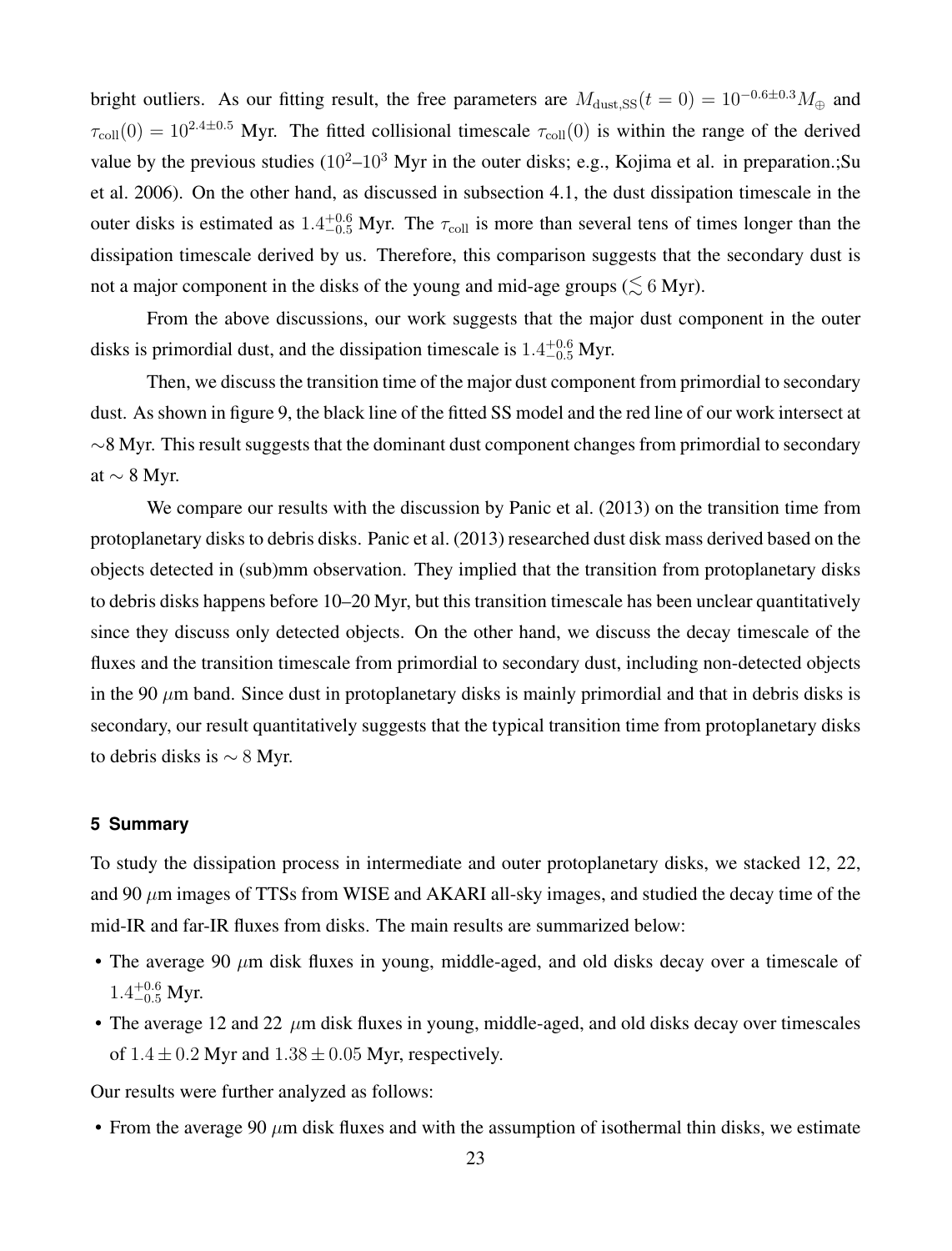bright outliers. As our fitting result, the free parameters are  $M_{\text{dust,SS}}(t=0) = 10^{-0.6\pm0.3} M_{\oplus}$  and  $\tau_{\text{coll}}(0) = 10^{2.4 \pm 0.5}$  Myr. The fitted collisional timescale  $\tau_{\text{coll}}(0)$  is within the range of the derived value by the previous studies  $(10^2-10^3)$  Myr in the outer disks; e.g., Kojima et al. in preparation.; Su et al. 2006). On the other hand, as discussed in subsection 4.1, the dust dissipation timescale in the outer disks is estimated as  $1.4_{-0.5}^{+0.6}$  Myr. The  $\tau_{\text{coll}}$  is more than several tens of times longer than the dissipation timescale derived by us. Therefore, this comparison suggests that the secondary dust is not a major component in the disks of the young and mid-age groups ( $\lesssim$  6 Myr).

From the above discussions, our work suggests that the major dust component in the outer disks is primordial dust, and the dissipation timescale is  $1.4^{+0.6}_{-0.5}$  Myr.

Then, we discuss the transition time of the major dust component from primordial to secondary dust. As shown in figure 9, the black line of the fitted SS model and the red line of our work intersect at *∼*8 Myr. This result suggests that the dominant dust component changes from primordial to secondary at *∼* 8 Myr.

We compare our results with the discussion by Panic et al. (2013) on the transition time from protoplanetary disks to debris disks. Panic et al. (2013) researched dust disk mass derived based on the objects detected in (sub)mm observation. They implied that the transition from protoplanetary disks to debris disks happens before 10–20 Myr, but this transition timescale has been unclear quantitatively since they discuss only detected objects. On the other hand, we discuss the decay timescale of the fluxes and the transition timescale from primordial to secondary dust, including non-detected objects in the 90  $\mu$ m band. Since dust in protoplanetary disks is mainly primordial and that in debris disks is secondary, our result quantitatively suggests that the typical transition time from protoplanetary disks to debris disks is *∼* 8 Myr.

# **5 Summary**

To study the dissipation process in intermediate and outer protoplanetary disks, we stacked 12, 22, and 90 *µ*m images of TTSs from WISE and AKARI all-sky images, and studied the decay time of the mid-IR and far-IR fluxes from disks. The main results are summarized below:

- The average 90  $\mu$ m disk fluxes in young, middle-aged, and old disks decay over a timescale of 1.4<sup>+0.6</sup> Myr.
- The average 12 and 22  $\mu$ m disk fluxes in young, middle-aged, and old disks decay over timescales of  $1.4 \pm 0.2$  Myr and  $1.38 \pm 0.05$  Myr, respectively.

Our results were further analyzed as follows:

• From the average 90  $\mu$ m disk fluxes and with the assumption of isothermal thin disks, we estimate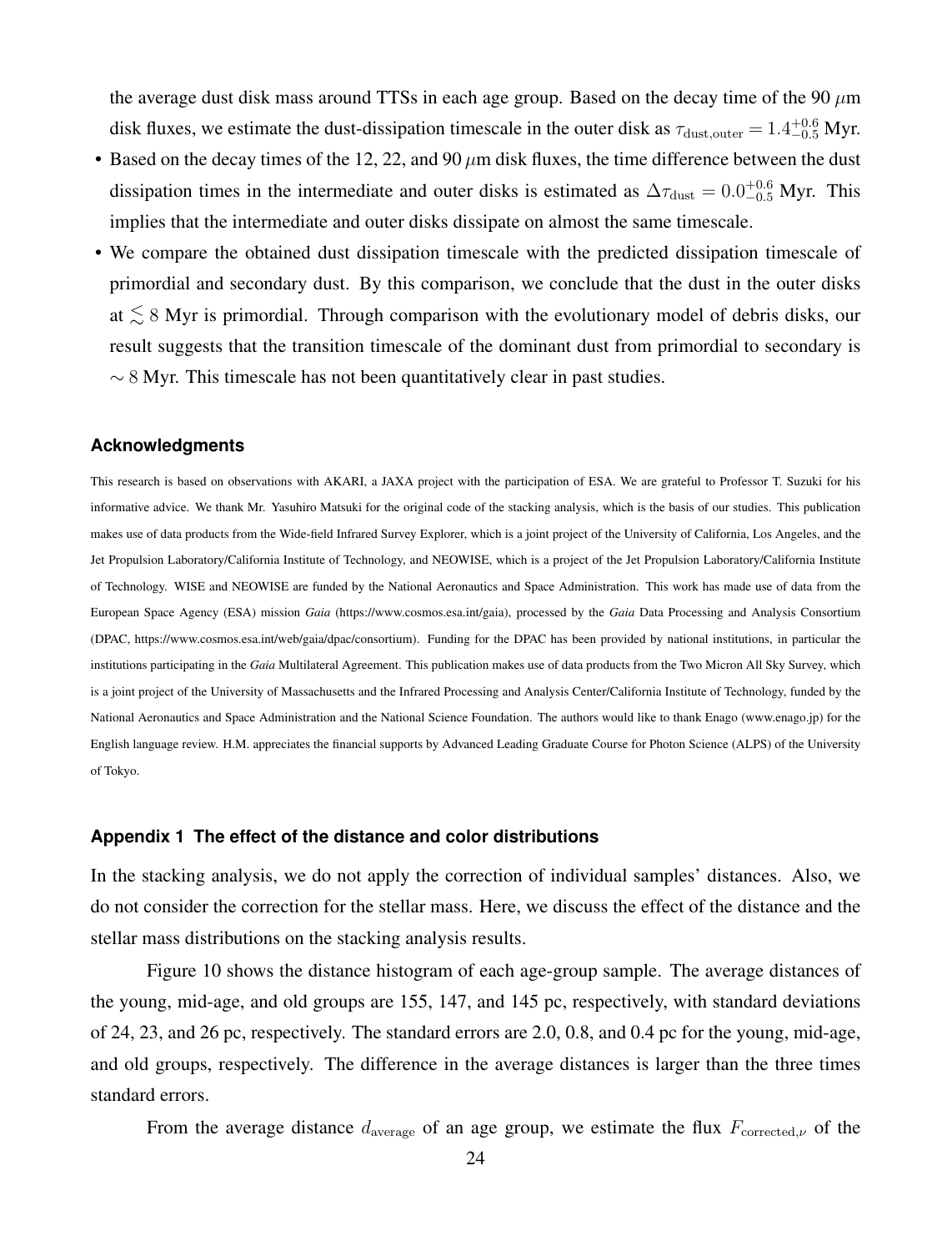the average dust disk mass around TTSs in each age group. Based on the decay time of the 90 *µ*m disk fluxes, we estimate the dust-dissipation timescale in the outer disk as  $\tau_{\text{dust,outer}} = 1.4_{-0.5}^{+0.6}$  Myr.

- Based on the decay times of the 12, 22, and 90 *µ*m disk fluxes, the time difference between the dust dissipation times in the intermediate and outer disks is estimated as  $\Delta \tau_{\text{dust}} = 0.0_{-0.5}^{+0.6}$  Myr. This implies that the intermediate and outer disks dissipate on almost the same timescale.
- We compare the obtained dust dissipation timescale with the predicted dissipation timescale of primordial and secondary dust. By this comparison, we conclude that the dust in the outer disks at *< <sup>∼</sup>* <sup>8</sup> Myr is primordial. Through comparison with the evolutionary model of debris disks, our result suggests that the transition timescale of the dominant dust from primordial to secondary is *∼* 8 Myr. This timescale has not been quantitatively clear in past studies.

## **Acknowledgments**

This research is based on observations with AKARI, a JAXA project with the participation of ESA. We are grateful to Professor T. Suzuki for his informative advice. We thank Mr. Yasuhiro Matsuki for the original code of the stacking analysis, which is the basis of our studies. This publication makes use of data products from the Wide-field Infrared Survey Explorer, which is a joint project of the University of California, Los Angeles, and the Jet Propulsion Laboratory/California Institute of Technology, and NEOWISE, which is a project of the Jet Propulsion Laboratory/California Institute of Technology. WISE and NEOWISE are funded by the National Aeronautics and Space Administration. This work has made use of data from the European Space Agency (ESA) mission *Gaia* (https://www.cosmos.esa.int/gaia), processed by the *Gaia* Data Processing and Analysis Consortium (DPAC, https://www.cosmos.esa.int/web/gaia/dpac/consortium). Funding for the DPAC has been provided by national institutions, in particular the institutions participating in the *Gaia* Multilateral Agreement. This publication makes use of data products from the Two Micron All Sky Survey, which is a joint project of the University of Massachusetts and the Infrared Processing and Analysis Center/California Institute of Technology, funded by the National Aeronautics and Space Administration and the National Science Foundation. The authors would like to thank Enago (www.enago.jp) for the English language review. H.M. appreciates the financial supports by Advanced Leading Graduate Course for Photon Science (ALPS) of the University of Tokyo.

# **Appendix 1 The effect of the distance and color distributions**

In the stacking analysis, we do not apply the correction of individual samples' distances. Also, we do not consider the correction for the stellar mass. Here, we discuss the effect of the distance and the stellar mass distributions on the stacking analysis results.

Figure 10 shows the distance histogram of each age-group sample. The average distances of the young, mid-age, and old groups are 155, 147, and 145 pc, respectively, with standard deviations of 24, 23, and 26 pc, respectively. The standard errors are 2.0, 0.8, and 0.4 pc for the young, mid-age, and old groups, respectively. The difference in the average distances is larger than the three times standard errors.

From the average distance  $d_{\text{average}}$  of an age group, we estimate the flux  $F_{\text{corrected},\nu}$  of the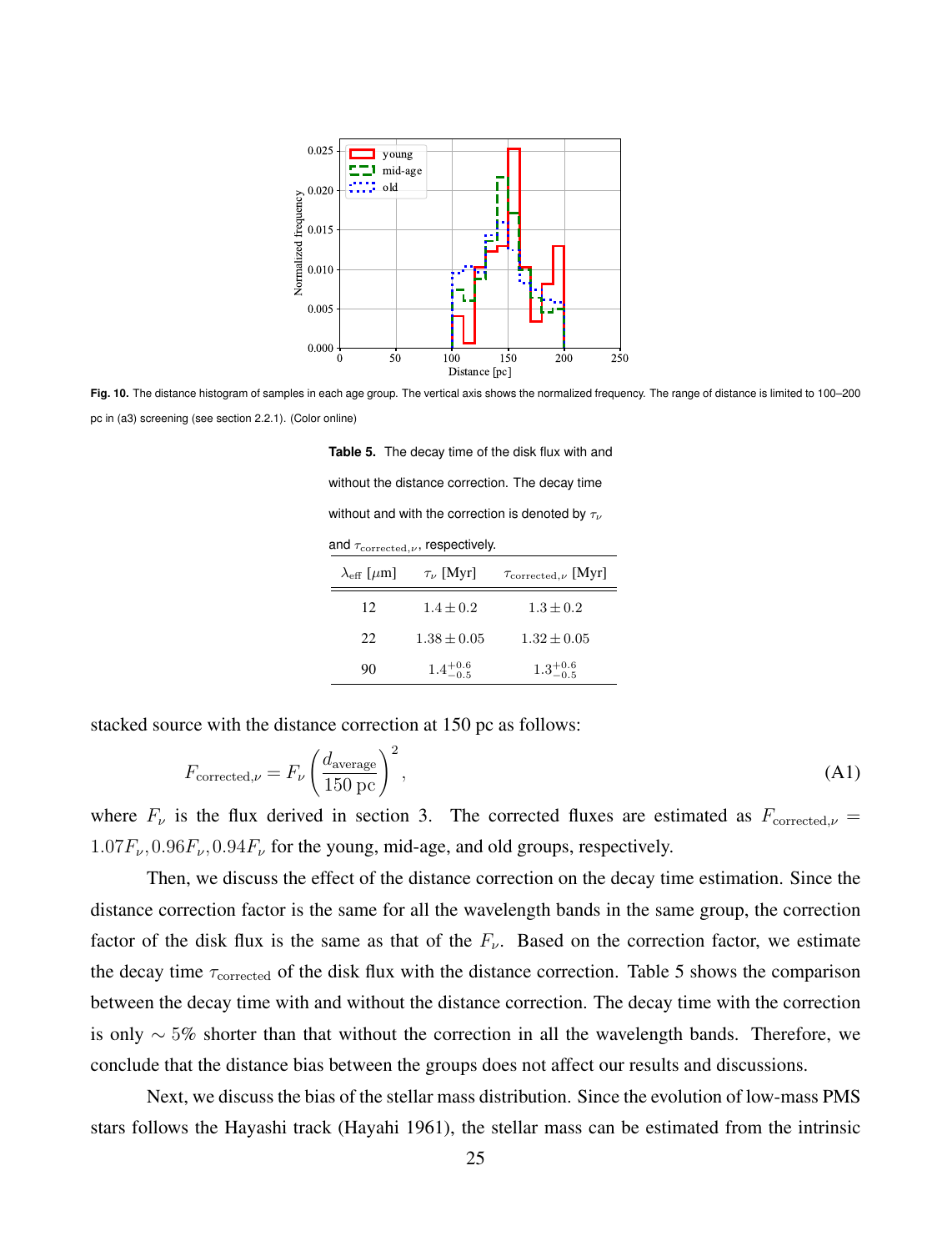

**Fig. 10.** The distance histogram of samples in each age group. The vertical axis shows the normalized frequency. The range of distance is limited to 100–200 pc in (a3) screening (see section 2.2.1). (Color online)

**Table 5.** The decay time of the disk flux with and without the distance correction. The decay time without and with the correction is denoted by *τ<sup>ν</sup>* and  $τ_{\text{corrected},ν}$ , respectively.  $\lambda_{\text{eff}}$  [ $\mu$ m]  $\tau_{\nu}$  [Myr]  $\tau_{\text{corrected},\nu}$  [Myr] 12  $1.4 \pm 0.2$   $1.3 \pm 0.2$ 22  $1.38 \pm 0.05$   $1.32 \pm 0.05$ 90  $1.4^{+0.6}_{-0.5}$  $1.3^{+0.6}_{-0.5}$ 

stacked source with the distance correction at 150 pc as follows:

$$
F_{\text{corrected},\nu} = F_{\nu} \left( \frac{d_{\text{average}}}{150 \text{ pc}} \right)^2,\tag{A1}
$$

where  $F_\nu$  is the flux derived in section 3. The corrected fluxes are estimated as  $F_{\text{corrected},\nu}$  $1.07F_{\nu}$ ,  $0.96F_{\nu}$ ,  $0.94F_{\nu}$  for the young, mid-age, and old groups, respectively.

Then, we discuss the effect of the distance correction on the decay time estimation. Since the distance correction factor is the same for all the wavelength bands in the same group, the correction factor of the disk flux is the same as that of the  $F_\nu$ . Based on the correction factor, we estimate the decay time  $\tau_{\text{corrected}}$  of the disk flux with the distance correction. Table 5 shows the comparison between the decay time with and without the distance correction. The decay time with the correction is only *∼* 5% shorter than that without the correction in all the wavelength bands. Therefore, we conclude that the distance bias between the groups does not affect our results and discussions.

Next, we discuss the bias of the stellar mass distribution. Since the evolution of low-mass PMS stars follows the Hayashi track (Hayahi 1961), the stellar mass can be estimated from the intrinsic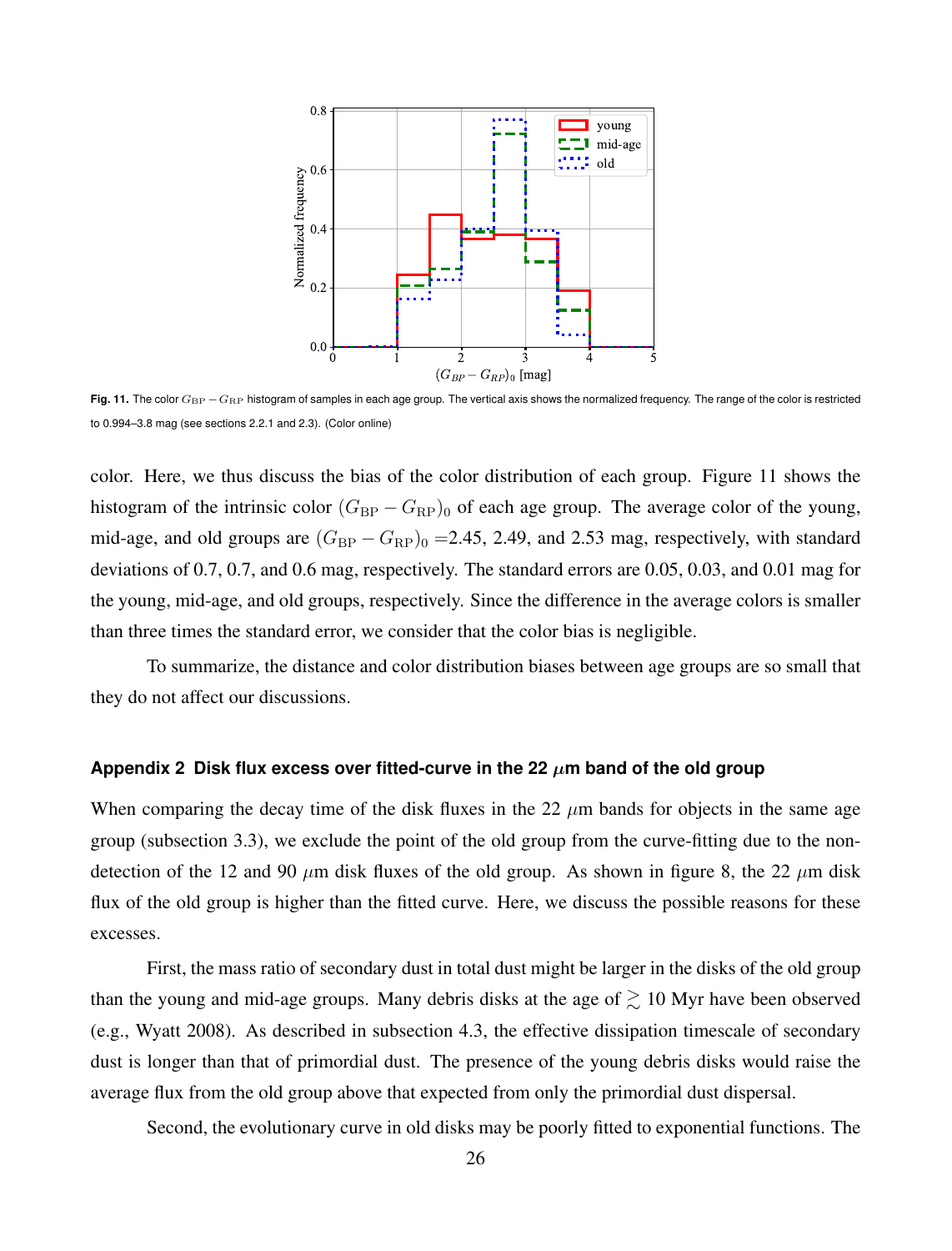

**Fig. 11.** The color  $G_{\text{BP}} - G_{\text{RP}}$  histogram of samples in each age group. The vertical axis shows the normalized frequency. The range of the color is restricted to 0.994–3.8 mag (see sections 2.2.1 and 2.3). (Color online)

color. Here, we thus discuss the bias of the color distribution of each group. Figure 11 shows the histogram of the intrinsic color  $(G_{BP} - G_{RP})_0$  of each age group. The average color of the young, mid-age, and old groups are  $(G_{BP} - G_{RP})_0 = 2.45$ , 2.49, and 2.53 mag, respectively, with standard deviations of 0.7, 0.7, and 0.6 mag, respectively. The standard errors are 0.05, 0.03, and 0.01 mag for the young, mid-age, and old groups, respectively. Since the difference in the average colors is smaller than three times the standard error, we consider that the color bias is negligible.

To summarize, the distance and color distribution biases between age groups are so small that they do not affect our discussions.

## Appendix 2 Disk flux excess over fitted-curve in the 22  $\mu$ m band of the old group

When comparing the decay time of the disk fluxes in the 22  $\mu$ m bands for objects in the same age group (subsection 3.3), we exclude the point of the old group from the curve-fitting due to the nondetection of the 12 and 90  $\mu$ m disk fluxes of the old group. As shown in figure 8, the 22  $\mu$ m disk flux of the old group is higher than the fitted curve. Here, we discuss the possible reasons for these excesses.

First, the mass ratio of secondary dust in total dust might be larger in the disks of the old group than the young and mid-age groups. Many debris disks at the age of  $\gtrsim 10$  Myr have been observed (e.g., Wyatt 2008). As described in subsection 4.3, the effective dissipation timescale of secondary dust is longer than that of primordial dust. The presence of the young debris disks would raise the average flux from the old group above that expected from only the primordial dust dispersal.

Second, the evolutionary curve in old disks may be poorly fitted to exponential functions. The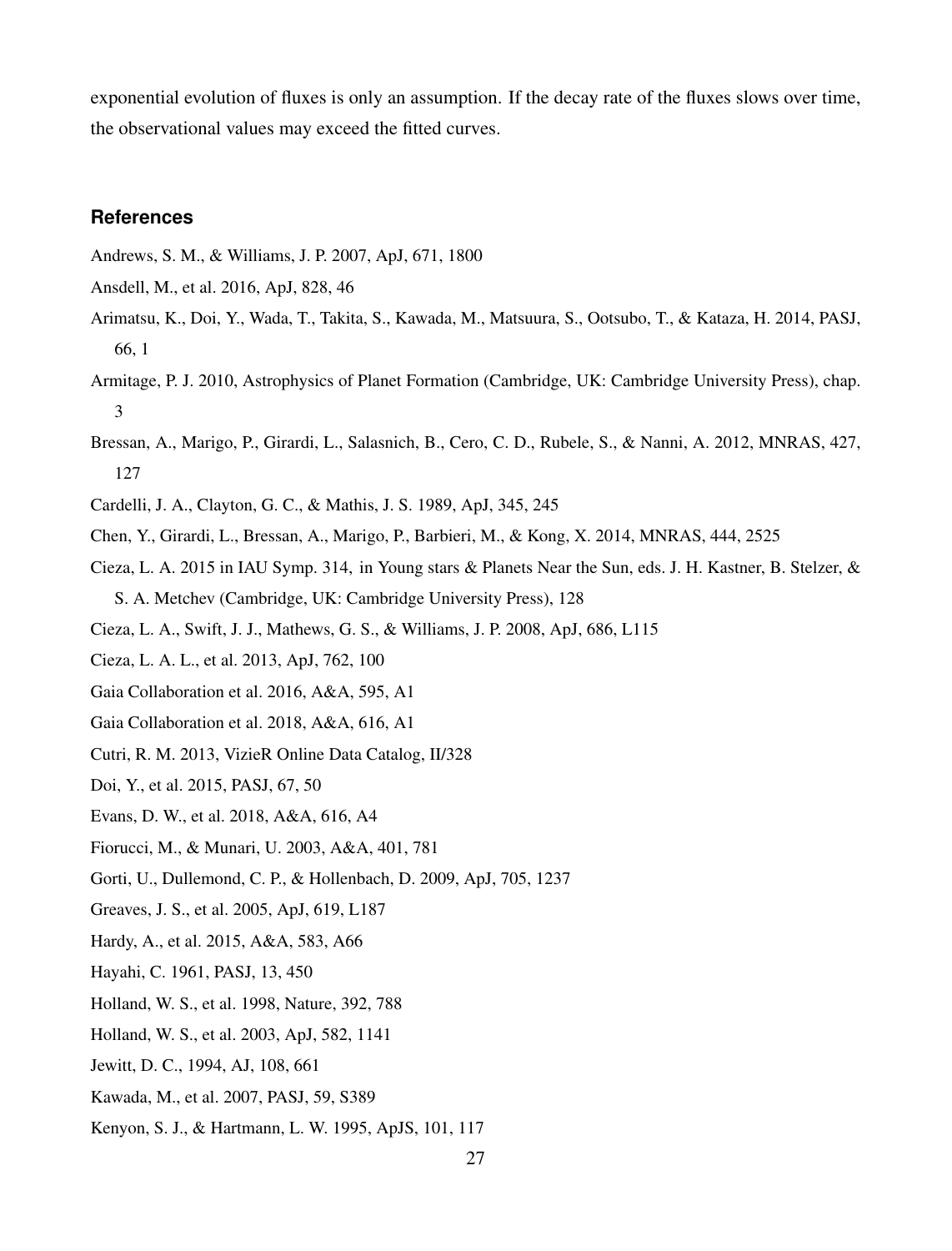exponential evolution of fluxes is only an assumption. If the decay rate of the fluxes slows over time, the observational values may exceed the fitted curves.

# **References**

Andrews, S. M., & Williams, J. P. 2007, ApJ, 671, 1800

- Ansdell, M., et al. 2016, ApJ, 828, 46
- Arimatsu, K., Doi, Y., Wada, T., Takita, S., Kawada, M., Matsuura, S., Ootsubo, T., & Kataza, H. 2014, PASJ, 66, 1
- Armitage, P. J. 2010, Astrophysics of Planet Formation (Cambridge, UK: Cambridge University Press), chap. 3
- Bressan, A., Marigo, P., Girardi, L., Salasnich, B., Cero, C. D., Rubele, S., & Nanni, A. 2012, MNRAS, 427, 127
- Cardelli, J. A., Clayton, G. C., & Mathis, J. S. 1989, ApJ, 345, 245
- Chen, Y., Girardi, L., Bressan, A., Marigo, P., Barbieri, M., & Kong, X. 2014, MNRAS, 444, 2525
- Cieza, L. A. 2015 in IAU Symp. 314, in Young stars & Planets Near the Sun, eds. J. H. Kastner, B. Stelzer, & S. A. Metchev (Cambridge, UK: Cambridge University Press), 128
- Cieza, L. A., Swift, J. J., Mathews, G. S., & Williams, J. P. 2008, ApJ, 686, L115
- Cieza, L. A. L., et al. 2013, ApJ, 762, 100
- Gaia Collaboration et al. 2016, A&A, 595, A1
- Gaia Collaboration et al. 2018, A&A, 616, A1
- Cutri, R. M. 2013, VizieR Online Data Catalog, II/328
- Doi, Y., et al. 2015, PASJ, 67, 50
- Evans, D. W., et al. 2018, A&A, 616, A4
- Fiorucci, M., & Munari, U. 2003, A&A, 401, 781
- Gorti, U., Dullemond, C. P., & Hollenbach, D. 2009, ApJ, 705, 1237
- Greaves, J. S., et al. 2005, ApJ, 619, L187
- Hardy, A., et al. 2015, A&A, 583, A66
- Hayahi, C. 1961, PASJ, 13, 450
- Holland, W. S., et al. 1998, Nature, 392, 788
- Holland, W. S., et al. 2003, ApJ, 582, 1141
- Jewitt, D. C., 1994, AJ, 108, 661
- Kawada, M., et al. 2007, PASJ, 59, S389
- Kenyon, S. J., & Hartmann, L. W. 1995, ApJS, 101, 117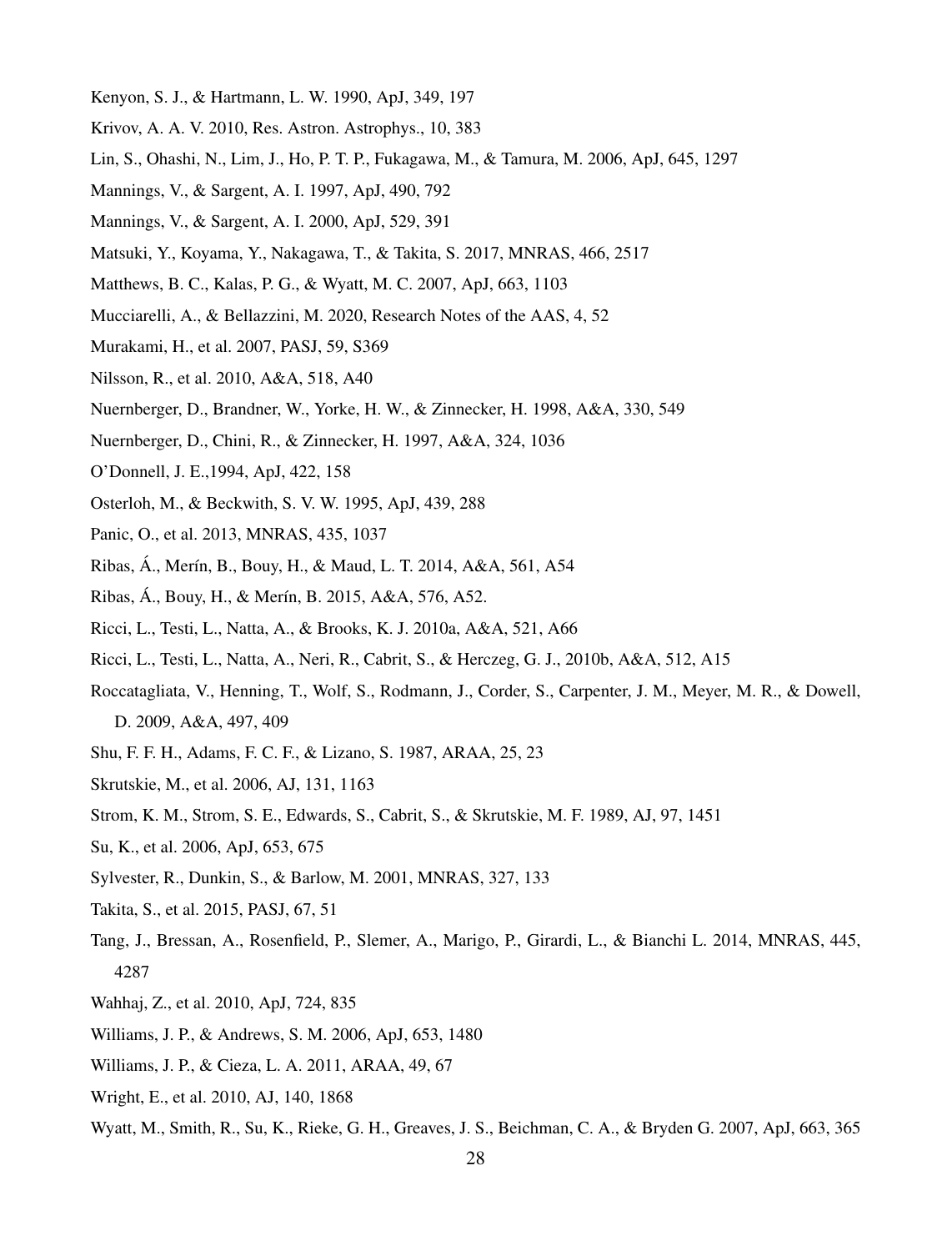- Kenyon, S. J., & Hartmann, L. W. 1990, ApJ, 349, 197
- Krivov, A. A. V. 2010, Res. Astron. Astrophys., 10, 383
- Lin, S., Ohashi, N., Lim, J., Ho, P. T. P., Fukagawa, M., & Tamura, M. 2006, ApJ, 645, 1297
- Mannings, V., & Sargent, A. I. 1997, ApJ, 490, 792
- Mannings, V., & Sargent, A. I. 2000, ApJ, 529, 391
- Matsuki, Y., Koyama, Y., Nakagawa, T., & Takita, S. 2017, MNRAS, 466, 2517
- Matthews, B. C., Kalas, P. G., & Wyatt, M. C. 2007, ApJ, 663, 1103
- Mucciarelli, A., & Bellazzini, M. 2020, Research Notes of the AAS, 4, 52
- Murakami, H., et al. 2007, PASJ, 59, S369
- Nilsson, R., et al. 2010, A&A, 518, A40
- Nuernberger, D., Brandner, W., Yorke, H. W., & Zinnecker, H. 1998, A&A, 330, 549
- Nuernberger, D., Chini, R., & Zinnecker, H. 1997, A&A, 324, 1036
- O'Donnell, J. E.,1994, ApJ, 422, 158
- Osterloh, M., & Beckwith, S. V. W. 1995, ApJ, 439, 288
- Panic, O., et al. 2013, MNRAS, 435, 1037
- Ribas, Á., Merín, B., Bouy, H., & Maud, L. T. 2014, A&A, 561, A54
- Ribas, Á., Bouy, H., & Merín, B. 2015, A&A, 576, A52.
- Ricci, L., Testi, L., Natta, A., & Brooks, K. J. 2010a, A&A, 521, A66
- Ricci, L., Testi, L., Natta, A., Neri, R., Cabrit, S., & Herczeg, G. J., 2010b, A&A, 512, A15
- Roccatagliata, V., Henning, T., Wolf, S., Rodmann, J., Corder, S., Carpenter, J. M., Meyer, M. R., & Dowell, D. 2009, A&A, 497, 409
- Shu, F. F. H., Adams, F. C. F., & Lizano, S. 1987, ARAA, 25, 23
- Skrutskie, M., et al. 2006, AJ, 131, 1163
- Strom, K. M., Strom, S. E., Edwards, S., Cabrit, S., & Skrutskie, M. F. 1989, AJ, 97, 1451
- Su, K., et al. 2006, ApJ, 653, 675
- Sylvester, R., Dunkin, S., & Barlow, M. 2001, MNRAS, 327, 133
- Takita, S., et al. 2015, PASJ, 67, 51
- Tang, J., Bressan, A., Rosenfield, P., Slemer, A., Marigo, P., Girardi, L., & Bianchi L. 2014, MNRAS, 445, 4287
- Wahhaj, Z., et al. 2010, ApJ, 724, 835
- Williams, J. P., & Andrews, S. M. 2006, ApJ, 653, 1480
- Williams, J. P., & Cieza, L. A. 2011, ARAA, 49, 67
- Wright, E., et al. 2010, AJ, 140, 1868
- Wyatt, M., Smith, R., Su, K., Rieke, G. H., Greaves, J. S., Beichman, C. A., & Bryden G. 2007, ApJ, 663, 365